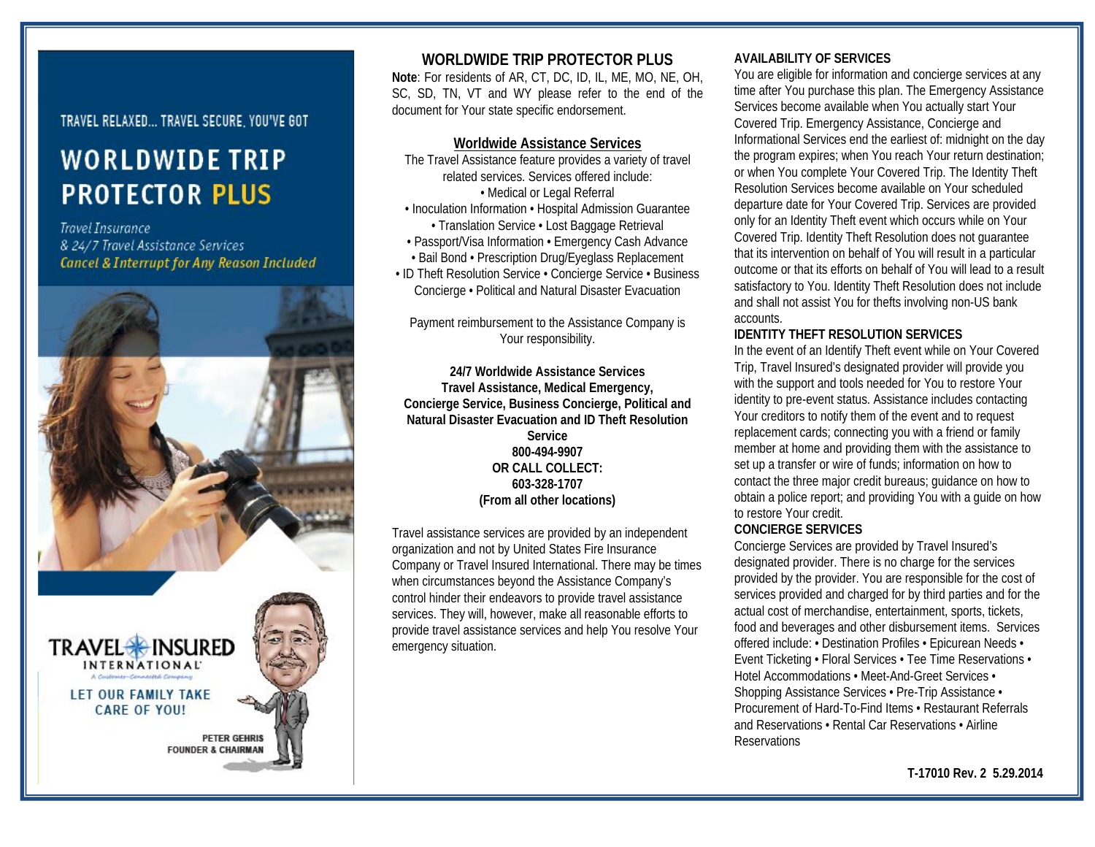# TRAVEL RELAXED... TRAVEL SECURE, YOU'VE GOT

# **WORLDWIDE TRIP PROTECTOR PLUS**

**Travel Insurance** & 24/7 Travel Assistance Services **Cancel & Interrupt for Any Reason Included** 



## **WORLDWIDE TRIP PROTECTOR PLUS**

**Note**: For residents of AR, CT, DC, ID, IL, ME, MO, NE, OH, SC, SD, TN, VT and WY please refer to the end of the document for Your state specific endorsement.

#### **Worldwide Assistance Services**

The Travel Assistance feature provides a variety of travel related services. Services offered include: • Medical or Legal Referral • Inoculation Information • Hospital Admission Guarantee • Translation Service • Lost Baggage Retrieval • Passport/Visa Information • Emergency Cash Advance • Bail Bond • Prescription Drug/Eyeglass Replacement

• ID Theft Resolution Service • Concierge Service • Business Concierge • Political and Natural Disaster Evacuation

Payment reimbursement to the Assistance Company is Your responsibility.

**24/7 Worldwide Assistance Services Travel Assistance, Medical Emergency, Concierge Service, Business Concierge, Political and Natural Disaster Evacuation and ID Theft Resolution Service 800-494-9907 OR CALL COLLECT: 603-328-1707 (From all other locations)**

Travel assistance services are provided by an independent organization and not by United States Fire Insurance Company or Travel Insured International. There may be times when circumstances beyond the Assistance Company's control hinder their endeavors to provide travel assistance services. They will, however, make all reasonable efforts to provide travel assistance services and help You resolve Your emergency situation.

## **AVAILABILITY OF SERVICES**

You are eligible for information and concierge services at any time after You purchase this plan. The Emergency Assistance Services become available when You actually start Your Covered Trip. Emergency Assistance, Concierge and Informational Services end the earliest of: midnight on the day the program expires; when You reach Your return destination; or when You complete Your Covered Trip. The Identity Theft Resolution Services become available on Your scheduled departure date for Your Covered Trip. Services are provided only for an Identity Theft event which occurs while on Your Covered Trip. Identity Theft Resolution does not guarantee that its intervention on behalf of You will result in a particular outcome or that its efforts on behalf of You will lead to a result satisfactory to You. Identity Theft Resolution does not include and shall not assist You for thefts involving non-US bank accounts.

#### **IDENTITY THEFT RESOLUTION SERVICES**

In the event of an Identify Theft event while on Your Covered Trip, Travel Insured's designated provider will provide you with the support and tools needed for You to restore Your identity to pre-event status. Assistance includes contacting Your creditors to notify them of the event and to request replacement cards; connecting you with a friend or family member at home and providing them with the assistance to set up a transfer or wire of funds; information on how to contact the three major credit bureaus; guidance on how to obtain a police report; and providing You with a guide on how to restore Your credit.

#### **CONCIERGE SERVICES**

Concierge Services are provided by Travel Insured's designated provider. There is no charge for the services provided by the provider. You are responsible for the cost of services provided and charged for by third parties and for the actual cost of merchandise, entertainment, sports, tickets, food and beverages and other disbursement items. Services offered include: • Destination Profiles • Epicurean Needs • Event Ticketing • Floral Services • Tee Time Reservations • Hotel Accommodations • Meet-And-Greet Services • Shopping Assistance Services • Pre-Trip Assistance • Procurement of Hard-To-Find Items • Restaurant Referrals and Reservations • Rental Car Reservations • Airline **Reservations**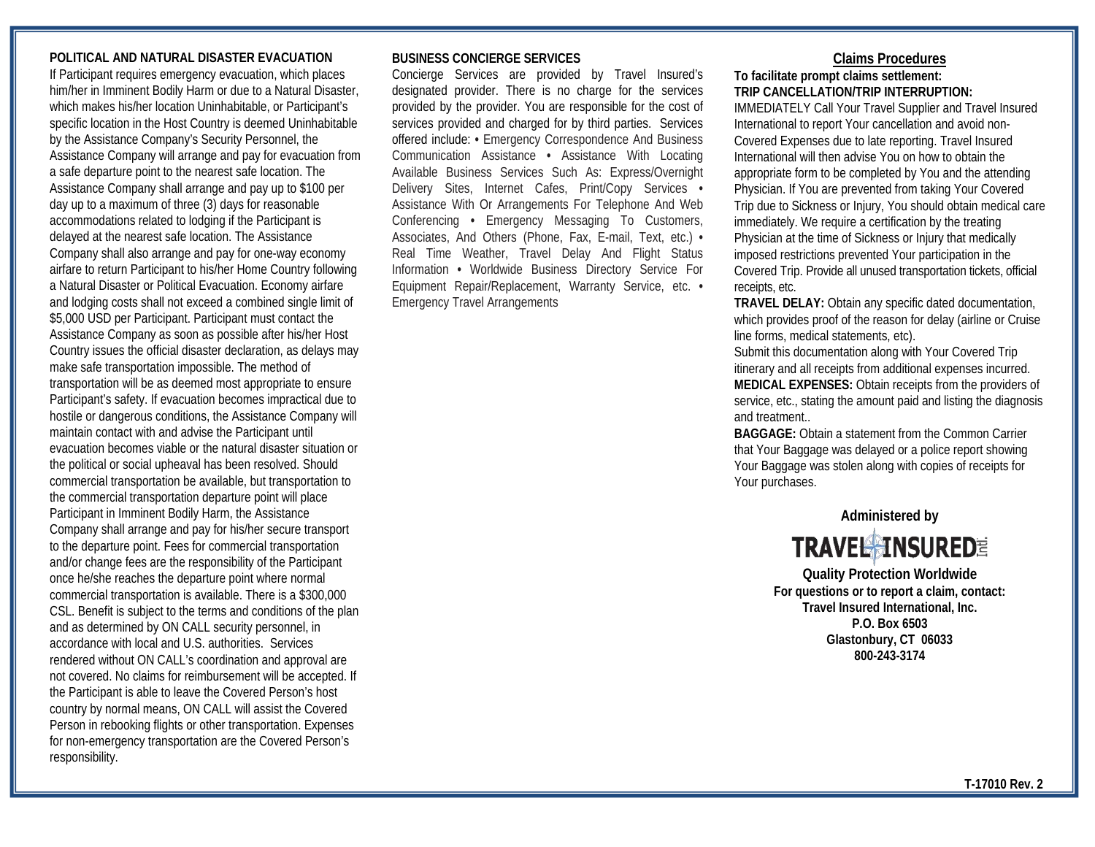## **POLITICAL AND NATURAL DISASTER EVACUATION**

If Participant requires emergency evacuation, which places him/her in Imminent Bodily Harm or due to a Natural Disaster, which makes his/her location Uninhabitable, or Participant's specific location in the Host Country is deemed Uninhabitable by the Assistance Company's Security Personnel, the Assistance Company will arrange and pay for evacuation from a safe departure point to the nearest safe location. The Assistance Company shall arrange and pay up to \$100 per day up to a maximum of three (3) days for reasonable accommodations related to lodging if the Participant is delayed at the nearest safe location. The Assistance Company shall also arrange and pay for one-way economy airfare to return Participant to his/her Home Country following a Natural Disaster or Political Evacuation. Economy airfare and lodging costs shall not exceed a combined single limit of \$5,000 USD per Participant. Participant must contact the Assistance Company as soon as possible after his/her Host Country issues the official disaster declaration, as delays may make safe transportation impossible. The method of transportation will be as deemed most appropriate to ensure Participant's safety. If evacuation becomes impractical due to hostile or dangerous conditions, the Assistance Company will maintain contact with and advise the Participant until evacuation becomes viable or the natural disaster situation or the political or social upheaval has been resolved. Should commercial transportation be available, but transportation to the commercial transportation departure point will place Participant in Imminent Bodily Harm, the Assistance Company shall arrange and pay for his/her secure transport to the departure point. Fees for commercial transportation and/or change fees are the responsibility of the Participant once he/she reaches the departure point where normal commercial transportation is available. There is a \$300,000 CSL. Benefit is subject to the terms and conditions of the plan and as determined by ON CALL security personnel, in accordance with local and U.S. authorities. Services rendered without ON CALL's coordination and approval are not covered. No claims for reimbursement will be accepted. If the Participant is able to leave the Covered Person's host country by normal means, ON CALL will assist the Covered Person in rebooking flights or other transportation. Expenses for non-emergency transportation are the Covered Person's responsibility.

#### **BUSINESS CONCIERGE SERVICES**

Concierge Services are provided by Travel Insured's designated provider. There is no charge for the services provided by the provider. You are responsible for the cost of services provided and charged for by third parties. Services offered include: **•** Emergency Correspondence And Business Communication Assistance **•** Assistance With Locating Available Business Services Such As: Express/Overnight Delivery Sites, Internet Cafes, Print/Copy Services **•**  Assistance With Or Arrangements For Telephone And Web Conferencing **•** Emergency Messaging To Customers, Associates, And Others (Phone, Fax, E-mail, Text, etc.) **•**  Real Time Weather, Travel Delay And Flight Status Information **•** Worldwide Business Directory Service For Equipment Repair/Replacement, Warranty Service, etc. **•**  Emergency Travel Arrangements

## **Claims Procedures**

## **To facilitate prompt claims settlement: TRIP CANCELLATION/TRIP INTERRUPTION:**

IMMEDIATELY Call Your Travel Supplier and Travel Insured International to report Your cancellation and avoid non-Covered Expenses due to late reporting. Travel Insured International will then advise You on how to obtain the appropriate form to be completed by You and the attending Physician. If You are prevented from taking Your Covered Trip due to Sickness or Injury, You should obtain medical care immediately. We require a certification by the treating Physician at the time of Sickness or Injury that medically imposed restrictions prevented Your participation in the Covered Trip. Provide all unused transportation tickets, official receipts, etc.

**TRAVEL DELAY:** Obtain any specific dated documentation, which provides proof of the reason for delay (airline or Cruise line forms, medical statements, etc).

Submit this documentation along with Your Covered Trip itinerary and all receipts from additional expenses incurred. **MEDICAL EXPENSES:** Obtain receipts from the providers of service, etc., stating the amount paid and listing the diagnosis and treatment..

**BAGGAGE:** Obtain a statement from the Common Carrier that Your Baggage was delayed or a police report showing Your Baggage was stolen along with copies of receipts for Your purchases.



**Quality Protection Worldwide For questions or to report a claim, contact: Travel Insured International, Inc. P.O. Box 6503 Glastonbury, CT 06033 800-243-3174**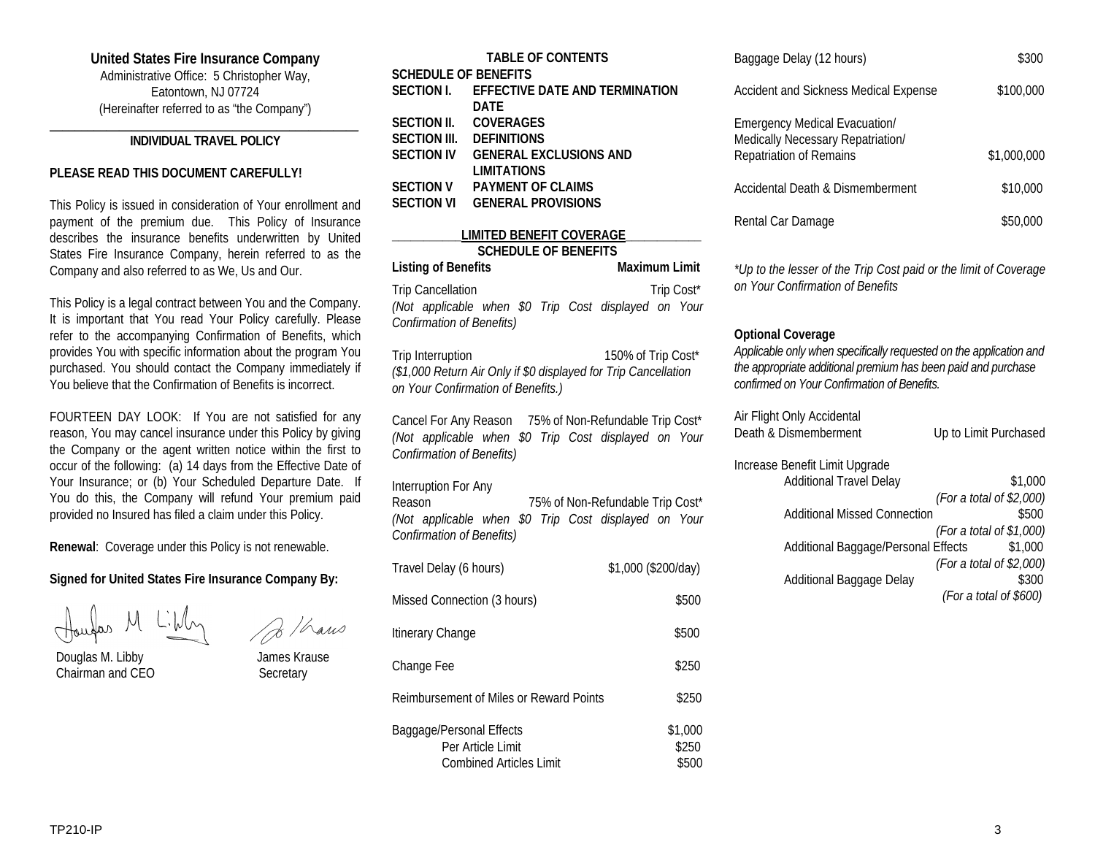#### **United States Fire Insurance Company**

Administrative Office: 5 Christopher Way, Eatontown, NJ 07724 (Hereinafter referred to as "the Company")

#### **\_\_\_\_\_\_\_\_\_\_\_\_\_\_\_\_\_\_\_\_\_\_\_\_\_\_\_\_\_\_\_\_\_\_\_\_\_\_\_\_\_\_\_\_\_\_\_\_\_ INDIVIDUAL TRAVEL POLICY**

#### **PLEASE READ THIS DOCUMENT CAREFULLY!**

This Policy is issued in consideration of Your enrollment and payment of the premium due. This Policy of Insurance describes the insurance benefits underwritten by United States Fire Insurance Company, herein referred to as the Company and also referred to as We, Us and Our.

This Policy is a legal contract between You and the Company. It is important that You read Your Policy carefully. Please refer to the accompanying Confirmation of Benefits, which provides You with specific information about the program You purchased. You should contact the Company immediately if You believe that the Confirmation of Benefits is incorrect.

FOURTEEN DAY LOOK: If You are not satisfied for any reason, You may cancel insurance under this Policy by giving the Company or the agent written notice within the first to occur of the following: (a) 14 days from the Effective Date of Your Insurance; or (b) Your Scheduled Departure Date. If You do this, the Company will refund Your premium paid provided no Insured has filed a claim under this Policy.

**Renewal**: Coverage under this Policy is not renewable.

## **Signed for United States Fire Insurance Company By:**

 Douglas M. Libby James Krause Chairman and CEO Secretary

| <b>TABLE OF CONTENTS</b>       |  |  |  |
|--------------------------------|--|--|--|
| <b>SCHEDULE OF BENEFITS</b>    |  |  |  |
| EFFECTIVE DATE AND TERMINATION |  |  |  |
| DATF                           |  |  |  |
| <b>COVERAGES</b>               |  |  |  |
| <b>DEFINITIONS</b>             |  |  |  |
| <b>GENERAL EXCLUSIONS AND</b>  |  |  |  |
| <b>LIMITATIONS</b>             |  |  |  |
| <b>PAYMENT OF CLAIMS</b>       |  |  |  |
| <b>GENERAL PROVISIONS</b>      |  |  |  |
|                                |  |  |  |

## **\_\_\_\_\_\_\_\_\_\_\_LIMITED BENEFIT COVERAGE\_\_\_\_\_\_\_\_\_\_\_\_ SCHEDULE OF BENEFITS** Listing of Benefits Maximum Limit

Trip Cancellation Trip Cost\* *(Not applicable when \$0 Trip Cost displayed on Your Confirmation of Benefits)*

Trip Interruption 150% of Trip Cost\* *(\$1,000 Return Air Only if \$0 displayed for Trip Cancellation on Your Confirmation of Benefits.)*

Cancel For Any Reason 75% of Non-Refundable Trip Cost\* *(Not applicable when \$0 Trip Cost displayed on Your Confirmation of Benefits)*

#### Interruption For Any

Reason 75% of Non-Refundable Trip Cost\* *(Not applicable when \$0 Trip Cost displayed on Your Confirmation of Benefits)*

| Travel Delay (6 hours)                                                   | \$1,000 (\$200/day)       |
|--------------------------------------------------------------------------|---------------------------|
| Missed Connection (3 hours)                                              | \$500                     |
| Itinerary Change                                                         | \$500                     |
| Change Fee                                                               | \$250                     |
| Reimbursement of Miles or Reward Points                                  | \$250                     |
| Baggage/Personal Effects<br>Per Article Limit<br>Combined Articles Limit | \$1,000<br>\$250<br>\$500 |

| Baggage Delay (12 hours)                                                                                    | \$300       |
|-------------------------------------------------------------------------------------------------------------|-------------|
| Accident and Sickness Medical Expense                                                                       | \$100,000   |
| <b>Emergency Medical Evacuation/</b><br>Medically Necessary Repatriation/<br><b>Repatriation of Remains</b> | \$1,000,000 |
| Accidental Death & Dismemberment                                                                            | \$10,000    |
| Rental Car Damage                                                                                           | \$50,000    |

*\*Up to the lesser of the Trip Cost paid or the limit of Coverage on Your Confirmation of Benefits*

## **Optional Coverage**

*Applicable only when specifically requested on the application and the appropriate additional premium has been paid and purchase confirmed on Your Confirmation of Benefits.*

Air Flight Only Accidental Death & Dismemberment Up to Limit Purchased

Increase Benefit Limit Upgrade

| DONOM LINIII Opgruuo                |                            |
|-------------------------------------|----------------------------|
| <b>Additional Travel Delay</b>      | \$1,000                    |
|                                     | (For a total of \$2,000)   |
| <b>Additional Missed Connection</b> | \$500                      |
|                                     | (For a total of $$1,000$ ) |
| Additional Baggage/Personal Effects | \$1,000                    |
|                                     | (For a total of \$2,000)   |
| Additional Baggage Delay            | \$300                      |
|                                     | (For a total of \$600)     |
|                                     |                            |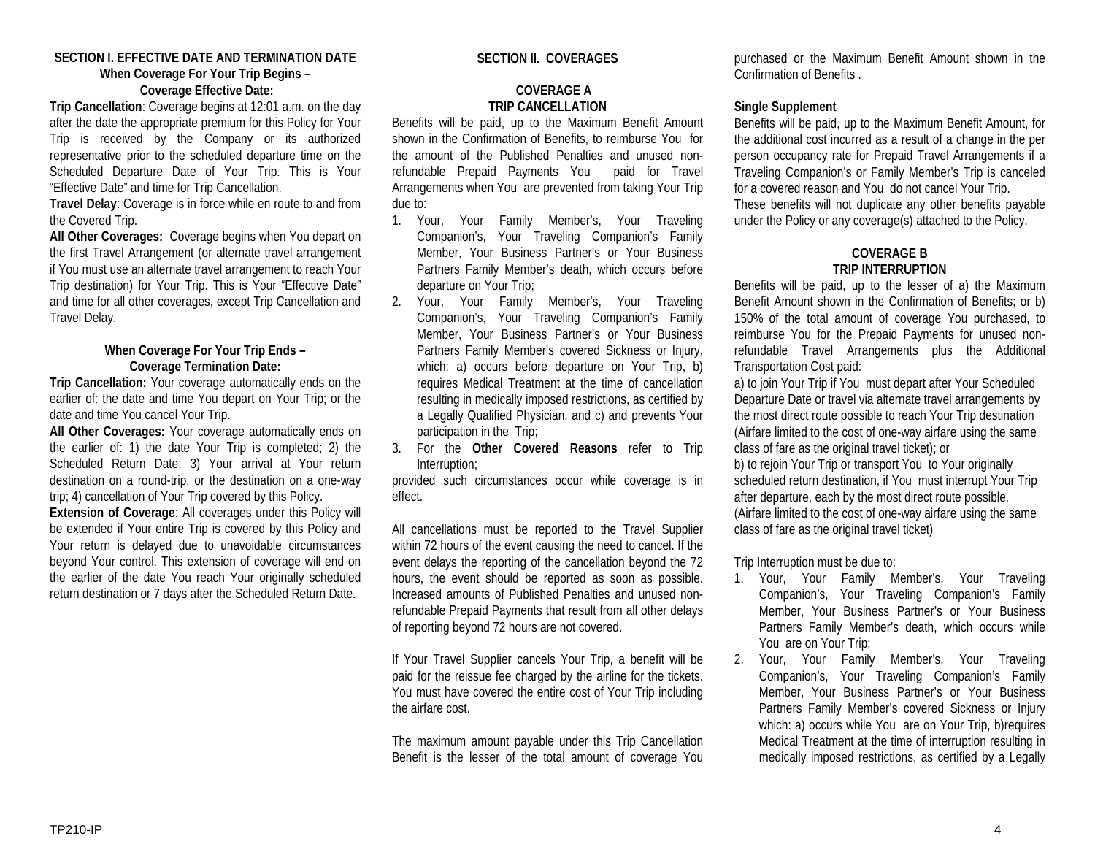#### **SECTION I. EFFECTIVE DATE AND TERMINATION DATE When Coverage For Your Trip Begins – Coverage Effective Date:**

**Trip Cancellation**: Coverage begins at 12:01 a.m. on the day after the date the appropriate premium for this Policy for Your Trip is received by the Company or its authorized representative prior to the scheduled departure time on the Scheduled Departure Date of Your Trip. This is Your "Effective Date" and time for Trip Cancellation.

**Travel Delay**: Coverage is in force while en route to and from the Covered Trip.

**All Other Coverages:** Coverage begins when You depart on the first Travel Arrangement (or alternate travel arrangement if You must use an alternate travel arrangement to reach Your Trip destination) for Your Trip. This is Your "Effective Date" and time for all other coverages, except Trip Cancellation and Travel Delay.

## **When Coverage For Your Trip Ends – Coverage Termination Date:**

**Trip Cancellation:** Your coverage automatically ends on the earlier of: the date and time You depart on Your Trip; or the date and time You cancel Your Trip.

**All Other Coverages:** Your coverage automatically ends on the earlier of: 1) the date Your Trip is completed; 2) the Scheduled Return Date; 3) Your arrival at Your return destination on a round-trip, or the destination on a one-way trip; 4) cancellation of Your Trip covered by this Policy.

**Extension of Coverage**: All coverages under this Policy will be extended if Your entire Trip is covered by this Policy and Your return is delayed due to unavoidable circumstances beyond Your control. This extension of coverage will end on the earlier of the date You reach Your originally scheduled return destination or 7 days after the Scheduled Return Date.

## **SECTION II. COVERAGES**

#### **COVERAGE A TRIP CANCELLATION**

Benefits will be paid, up to the Maximum Benefit Amount shown in the Confirmation of Benefits, to reimburse You for the amount of the Published Penalties and unused nonrefundable Prepaid Payments You paid for Travel Arrangements when You are prevented from taking Your Trip due to:

- 1. Your, Your Family Member's, Your Traveling Companion's, Your Traveling Companion's Family Member, Your Business Partner's or Your Business Partners Family Member's death, which occurs before departure on Your Trip;
- 2. Your, Your Family Member's, Your Traveling Companion's, Your Traveling Companion's Family Member, Your Business Partner's or Your Business Partners Family Member's covered Sickness or Injury, which: a) occurs before departure on Your Trip, b) requires Medical Treatment at the time of cancellation resulting in medically imposed restrictions, as certified by a Legally Qualified Physician, and c) and prevents Your participation in the Trip;
- 3. For the **Other Covered Reasons** refer to Trip Interruption;

provided such circumstances occur while coverage is in effect.

All cancellations must be reported to the Travel Supplier within 72 hours of the event causing the need to cancel. If the event delays the reporting of the cancellation beyond the 72 hours, the event should be reported as soon as possible. Increased amounts of Published Penalties and unused nonrefundable Prepaid Payments that result from all other delays of reporting beyond 72 hours are not covered.

If Your Travel Supplier cancels Your Trip, a benefit will be paid for the reissue fee charged by the airline for the tickets. You must have covered the entire cost of Your Trip including the airfare cost.

The maximum amount payable under this Trip Cancellation Benefit is the lesser of the total amount of coverage You purchased or the Maximum Benefit Amount shown in the Confirmation of Benefits .

## **Single Supplement**

Benefits will be paid, up to the Maximum Benefit Amount, for the additional cost incurred as a result of a change in the per person occupancy rate for Prepaid Travel Arrangements if a Traveling Companion's or Family Member's Trip is canceled for a covered reason and You do not cancel Your Trip. These benefits will not duplicate any other benefits payable under the Policy or any coverage(s) attached to the Policy.

## **COVERAGE B TRIP INTERRUPTION**

Benefits will be paid, up to the lesser of a) the Maximum Benefit Amount shown in the Confirmation of Benefits; or b) 150% of the total amount of coverage You purchased, to reimburse You for the Prepaid Payments for unused nonrefundable Travel Arrangements plus the Additional Transportation Cost paid:

a) to join Your Trip if You must depart after Your Scheduled Departure Date or travel via alternate travel arrangements by the most direct route possible to reach Your Trip destination (Airfare limited to the cost of one-way airfare using the same class of fare as the original travel ticket); or b) to rejoin Your Trip or transport You to Your originally scheduled return destination, if You must interrupt Your Trip after departure, each by the most direct route possible. (Airfare limited to the cost of one-way airfare using the same class of fare as the original travel ticket)

Trip Interruption must be due to:

- 1. Your, Your Family Member's, Your Traveling Companion's, Your Traveling Companion's Family Member, Your Business Partner's or Your Business Partners Family Member's death, which occurs while You are on Your Trip;
- 2. Your, Your Family Member's, Your Traveling Companion's, Your Traveling Companion's Family Member, Your Business Partner's or Your Business Partners Family Member's covered Sickness or Injury which: a) occurs while You are on Your Trip, b) requires Medical Treatment at the time of interruption resulting in medically imposed restrictions, as certified by a Legally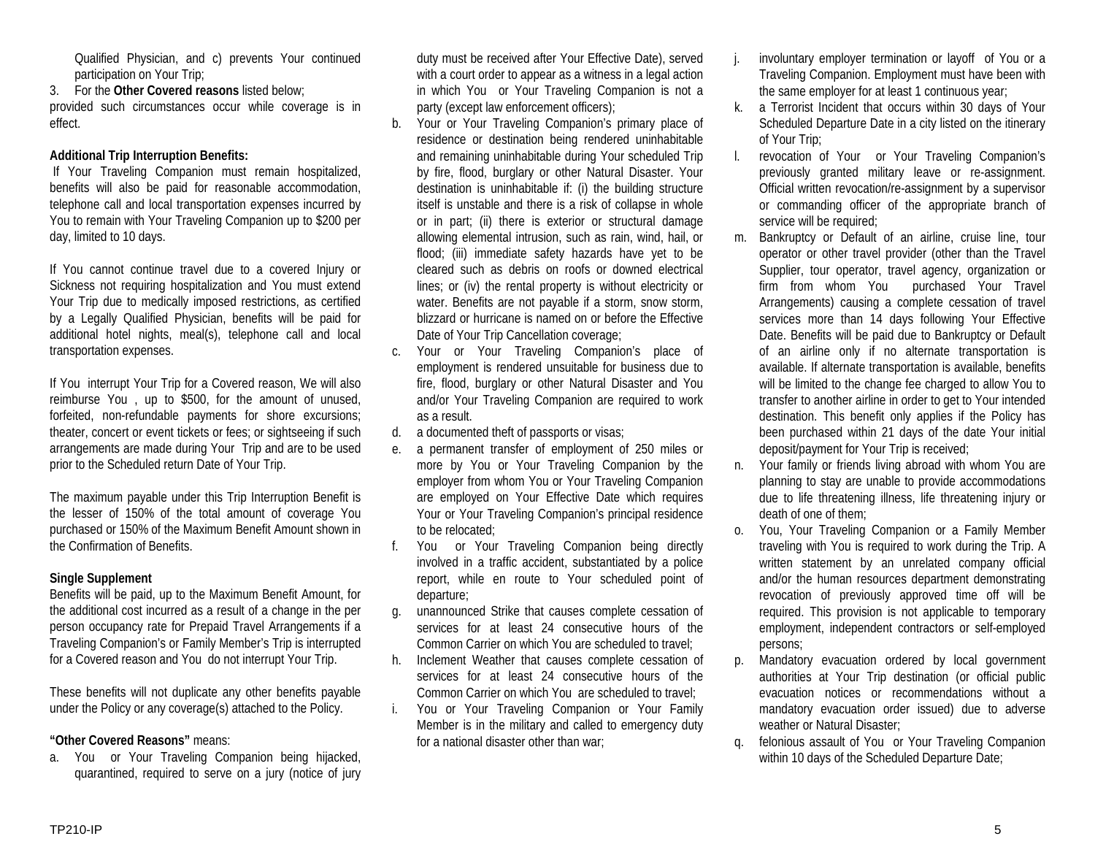Qualified Physician, and c) prevents Your continued participation on Your Trip;

3. For the **Other Covered reasons** listed below;

provided such circumstances occur while coverage is in effect.

# **Additional Trip Interruption Benefits:**

If Your Traveling Companion must remain hospitalized, benefits will also be paid for reasonable accommodation, telephone call and local transportation expenses incurred by You to remain with Your Traveling Companion up to \$200 per day, limited to 10 days.

If You cannot continue travel due to a covered Injury or Sickness not requiring hospitalization and You must extend Your Trip due to medically imposed restrictions, as certified by a Legally Qualified Physician, benefits will be paid for additional hotel nights, meal(s), telephone call and local transportation expenses.

If You interrupt Your Trip for a Covered reason, We will also reimburse You , up to \$500, for the amount of unused, forfeited, non-refundable payments for shore excursions; theater, concert or event tickets or fees; or sightseeing if such arrangements are made during Your Trip and are to be used prior to the Scheduled return Date of Your Trip.

The maximum payable under this Trip Interruption Benefit is the lesser of 150% of the total amount of coverage You purchased or 150% of the Maximum Benefit Amount shown in the Confirmation of Benefits.

# **Single Supplement**

Benefits will be paid, up to the Maximum Benefit Amount, for the additional cost incurred as a result of a change in the per person occupancy rate for Prepaid Travel Arrangements if a Traveling Companion's or Family Member's Trip is interrupted for a Covered reason and You do not interrupt Your Trip.

These benefits will not duplicate any other benefits payable under the Policy or any coverage(s) attached to the Policy.

# **"Other Covered Reasons"** means:

a. You or Your Traveling Companion being hijacked, quarantined, required to serve on a jury (notice of jury duty must be received after Your Effective Date), served with a court order to appear as a witness in a legal action in which You or Your Traveling Companion is not a party (except law enforcement officers);

- b. Your or Your Traveling Companion's primary place of residence or destination being rendered uninhabitable and remaining uninhabitable during Your scheduled Trip by fire, flood, burglary or other Natural Disaster. Your destination is uninhabitable if: (i) the building structure itself is unstable and there is a risk of collapse in whole or in part; (ii) there is exterior or structural damage allowing elemental intrusion, such as rain, wind, hail, or flood; (iii) immediate safety hazards have yet to be cleared such as debris on roofs or downed electrical lines; or (iv) the rental property is without electricity or water. Benefits are not payable if a storm, snow storm, blizzard or hurricane is named on or before the Effective Date of Your Trip Cancellation coverage;
- c. Your or Your Traveling Companion's place of employment is rendered unsuitable for business due to fire, flood, burglary or other Natural Disaster and You and/or Your Traveling Companion are required to work as a result.
- d. a documented theft of passports or visas;
- e. a permanent transfer of employment of 250 miles or more by You or Your Traveling Companion by the employer from whom You or Your Traveling Companion are employed on Your Effective Date which requires Your or Your Traveling Companion's principal residence to be relocated;
- f. You or Your Traveling Companion being directly involved in a traffic accident, substantiated by a police report, while en route to Your scheduled point of departure;
- g. unannounced Strike that causes complete cessation of services for at least 24 consecutive hours of the Common Carrier on which You are scheduled to travel;
- h. Inclement Weather that causes complete cessation of services for at least 24 consecutive hours of the Common Carrier on which You are scheduled to travel;
- i. You or Your Traveling Companion or Your Family Member is in the military and called to emergency duty for a national disaster other than war;
- j. involuntary employer termination or layoff of You or a Traveling Companion. Employment must have been with the same employer for at least 1 continuous year;
- k. a Terrorist Incident that occurs within 30 days of Your Scheduled Departure Date in a city listed on the itinerary of Your Trip;
- l. revocation of Your or Your Traveling Companion's previously granted military leave or re-assignment. Official written revocation/re-assignment by a supervisor or commanding officer of the appropriate branch of service will be required;
- m. Bankruptcy or Default of an airline, cruise line, tour operator or other travel provider (other than the Travel Supplier, tour operator, travel agency, organization or firm from whom You purchased Your Travel Arrangements) causing a complete cessation of travel services more than 14 days following Your Effective Date. Benefits will be paid due to Bankruptcy or Default of an airline only if no alternate transportation is available. If alternate transportation is available, benefits will be limited to the change fee charged to allow You to transfer to another airline in order to get to Your intended destination. This benefit only applies if the Policy has been purchased within 21 days of the date Your initial deposit/payment for Your Trip is received;
- n. Your family or friends living abroad with whom You are planning to stay are unable to provide accommodations due to life threatening illness, life threatening injury or death of one of them;
- o. You, Your Traveling Companion or a Family Member traveling with You is required to work during the Trip. A written statement by an unrelated company official and/or the human resources department demonstrating revocation of previously approved time off will be required. This provision is not applicable to temporary employment, independent contractors or self-employed persons;
- p. Mandatory evacuation ordered by local government authorities at Your Trip destination (or official public evacuation notices or recommendations without a mandatory evacuation order issued) due to adverse weather or Natural Disaster;
- q. felonious assault of You or Your Traveling Companion within 10 days of the Scheduled Departure Date;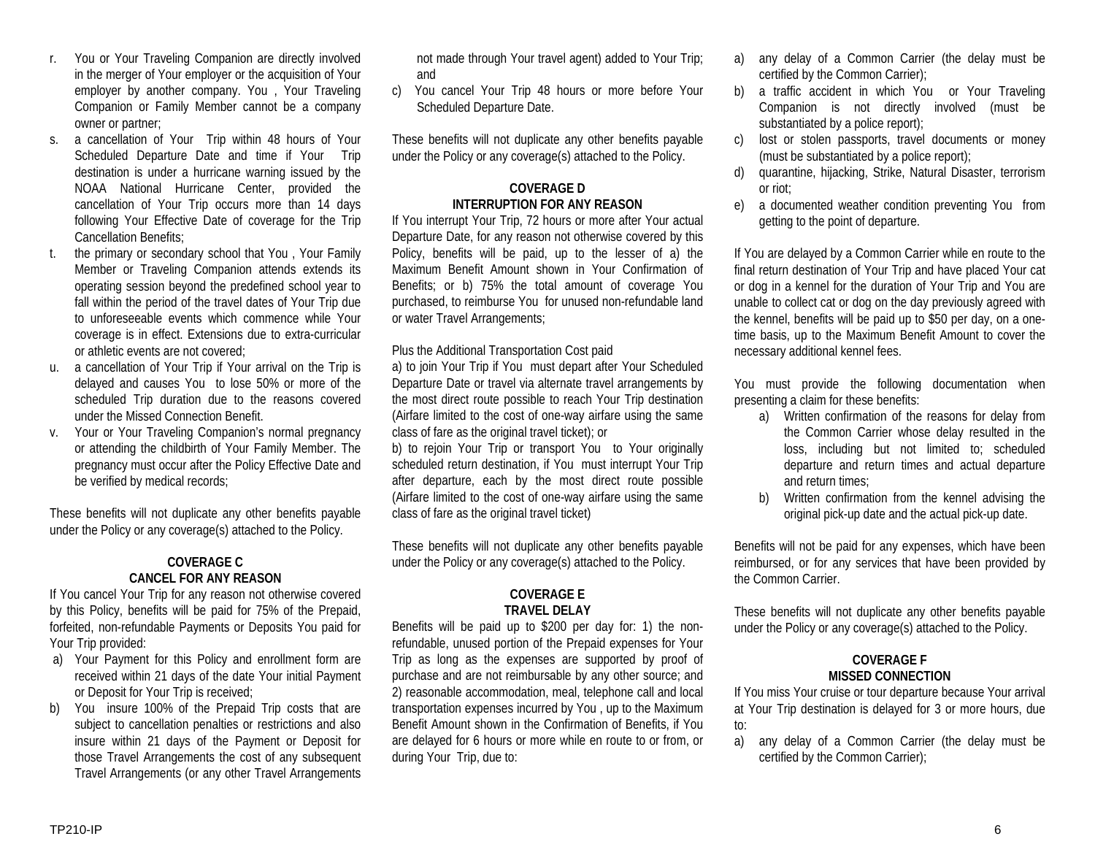- r. You or Your Traveling Companion are directly involved in the merger of Your employer or the acquisition of Your employer by another company. You , Your Traveling Companion or Family Member cannot be a company owner or partner;
- s. a cancellation of Your Trip within 48 hours of Your Scheduled Departure Date and time if Your Trip destination is under a hurricane warning issued by the NOAA National Hurricane Center, provided the cancellation of Your Trip occurs more than 14 days following Your Effective Date of coverage for the Trip Cancellation Benefits;
- t. the primary or secondary school that You , Your Family Member or Traveling Companion attends extends its operating session beyond the predefined school year to fall within the period of the travel dates of Your Trip due to unforeseeable events which commence while Your coverage is in effect. Extensions due to extra-curricular or athletic events are not covered;
- u. a cancellation of Your Trip if Your arrival on the Trip is delayed and causes You to lose 50% or more of the scheduled Trip duration due to the reasons covered under the Missed Connection Benefit.
- v. Your or Your Traveling Companion's normal pregnancy or attending the childbirth of Your Family Member. The pregnancy must occur after the Policy Effective Date and be verified by medical records;

These benefits will not duplicate any other benefits payable under the Policy or any coverage(s) attached to the Policy.

# **COVERAGE C CANCEL FOR ANY REASON**

If You cancel Your Trip for any reason not otherwise covered by this Policy, benefits will be paid for 75% of the Prepaid, forfeited, non-refundable Payments or Deposits You paid for Your Trip provided:

- a) Your Payment for this Policy and enrollment form are received within 21 days of the date Your initial Payment or Deposit for Your Trip is received;
- b) You insure 100% of the Prepaid Trip costs that are subject to cancellation penalties or restrictions and also insure within 21 days of the Payment or Deposit for those Travel Arrangements the cost of any subsequent Travel Arrangements (or any other Travel Arrangements

not made through Your travel agent) added to Your Trip; and

c) You cancel Your Trip 48 hours or more before Your Scheduled Departure Date.

These benefits will not duplicate any other benefits payable under the Policy or any coverage(s) attached to the Policy.

## **COVERAGE D INTERRUPTION FOR ANY REASON**

If You interrupt Your Trip, 72 hours or more after Your actual Departure Date, for any reason not otherwise covered by this Policy, benefits will be paid, up to the lesser of a) the Maximum Benefit Amount shown in Your Confirmation of Benefits; or b) 75% the total amount of coverage You purchased, to reimburse You for unused non-refundable land or water Travel Arrangements;

#### Plus the Additional Transportation Cost paid

a) to join Your Trip if You must depart after Your Scheduled Departure Date or travel via alternate travel arrangements by the most direct route possible to reach Your Trip destination (Airfare limited to the cost of one-way airfare using the same class of fare as the original travel ticket); or

b) to rejoin Your Trip or transport You to Your originally scheduled return destination, if You must interrupt Your Trip after departure, each by the most direct route possible (Airfare limited to the cost of one-way airfare using the same class of fare as the original travel ticket)

These benefits will not duplicate any other benefits payable under the Policy or any coverage(s) attached to the Policy.

## **COVERAGE E TRAVEL DELAY**

Benefits will be paid up to \$200 per day for: 1) the nonrefundable, unused portion of the Prepaid expenses for Your Trip as long as the expenses are supported by proof of purchase and are not reimbursable by any other source; and 2) reasonable accommodation, meal, telephone call and local transportation expenses incurred by You , up to the Maximum Benefit Amount shown in the Confirmation of Benefits, if You are delayed for 6 hours or more while en route to or from, or during Your Trip, due to:

- a) any delay of a Common Carrier (the delay must be certified by the Common Carrier);
- b) a traffic accident in which You or Your Traveling Companion is not directly involved (must be substantiated by a police report);
- c) lost or stolen passports, travel documents or money (must be substantiated by a police report);
- d) quarantine, hijacking, Strike, Natural Disaster, terrorism or riot;
- e) a documented weather condition preventing You from getting to the point of departure.

If You are delayed by a Common Carrier while en route to the final return destination of Your Trip and have placed Your cat or dog in a kennel for the duration of Your Trip and You are unable to collect cat or dog on the day previously agreed with the kennel, benefits will be paid up to \$50 per day, on a onetime basis, up to the Maximum Benefit Amount to cover the necessary additional kennel fees.

You must provide the following documentation when presenting a claim for these benefits:

- a) Written confirmation of the reasons for delay from the Common Carrier whose delay resulted in the loss, including but not limited to; scheduled departure and return times and actual departure and return times;
- b) Written confirmation from the kennel advising the original pick-up date and the actual pick-up date.

Benefits will not be paid for any expenses, which have been reimbursed, or for any services that have been provided by the Common Carrier.

These benefits will not duplicate any other benefits payable under the Policy or any coverage(s) attached to the Policy.

## **COVERAGE F MISSED CONNECTION**

If You miss Your cruise or tour departure because Your arrival at Your Trip destination is delayed for 3 or more hours, due to:

a) any delay of a Common Carrier (the delay must be certified by the Common Carrier);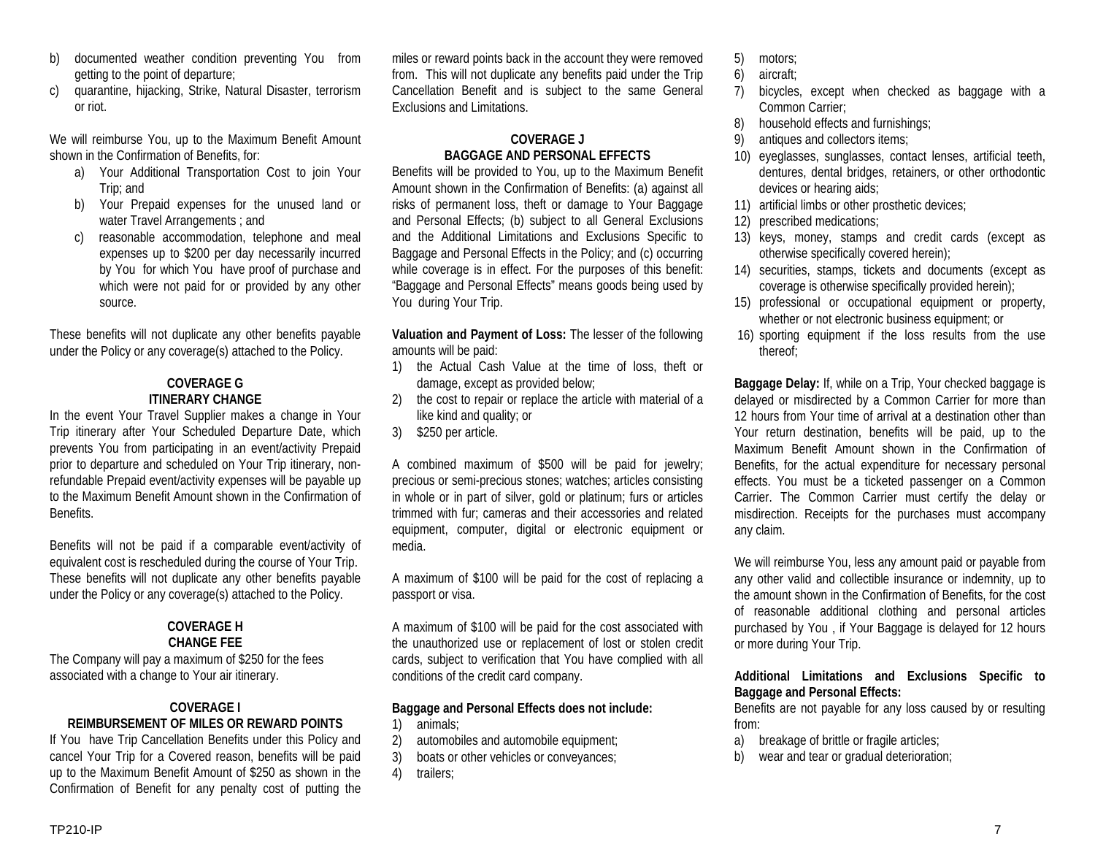- b) documented weather condition preventing You from getting to the point of departure;
- c) quarantine, hijacking, Strike, Natural Disaster, terrorism or riot.

We will reimburse You, up to the Maximum Benefit Amount shown in the Confirmation of Benefits, for:

- a) Your Additional Transportation Cost to join Your Trip; and
- b) Your Prepaid expenses for the unused land or water Travel Arrangements ; and
- c) reasonable accommodation, telephone and meal expenses up to \$200 per day necessarily incurred by You for which You have proof of purchase and which were not paid for or provided by any other source.

These benefits will not duplicate any other benefits payable under the Policy or any coverage(s) attached to the Policy.

## **COVERAGE G ITINERARY CHANGE**

In the event Your Travel Supplier makes a change in Your Trip itinerary after Your Scheduled Departure Date, which prevents You from participating in an event/activity Prepaid prior to departure and scheduled on Your Trip itinerary, nonrefundable Prepaid event/activity expenses will be payable up to the Maximum Benefit Amount shown in the Confirmation of **Benefits** 

Benefits will not be paid if a comparable event/activity of equivalent cost is rescheduled during the course of Your Trip. These benefits will not duplicate any other benefits payable under the Policy or any coverage(s) attached to the Policy.

## **COVERAGE H CHANGE FEE**

The Company will pay a maximum of \$250 for the fees associated with a change to Your air itinerary.

## **COVERAGE I REIMBURSEMENT OF MILES OR REWARD POINTS**

If You have Trip Cancellation Benefits under this Policy and cancel Your Trip for a Covered reason, benefits will be paid up to the Maximum Benefit Amount of \$250 as shown in the Confirmation of Benefit for any penalty cost of putting the

miles or reward points back in the account they were removed from. This will not duplicate any benefits paid under the Trip Cancellation Benefit and is subject to the same General Exclusions and Limitations.

## **COVERAGE J BAGGAGE AND PERSONAL EFFECTS**

Benefits will be provided to You, up to the Maximum Benefit Amount shown in the Confirmation of Benefits: (a) against all risks of permanent loss, theft or damage to Your Baggage and Personal Effects; (b) subject to all General Exclusions and the Additional Limitations and Exclusions Specific to Baggage and Personal Effects in the Policy; and (c) occurring while coverage is in effect. For the purposes of this benefit: "Baggage and Personal Effects" means goods being used by You during Your Trip.

**Valuation and Payment of Loss:** The lesser of the following amounts will be paid:

- 1) the Actual Cash Value at the time of loss, theft or damage, except as provided below;
- 2) the cost to repair or replace the article with material of a like kind and quality; or
- 3) \$250 per article.

A combined maximum of \$500 will be paid for jewelry; precious or semi-precious stones; watches; articles consisting in whole or in part of silver, gold or platinum; furs or articles trimmed with fur; cameras and their accessories and related equipment, computer, digital or electronic equipment or media.

A maximum of \$100 will be paid for the cost of replacing a passport or visa.

A maximum of \$100 will be paid for the cost associated with the unauthorized use or replacement of lost or stolen credit cards, subject to verification that You have complied with all conditions of the credit card company.

## **Baggage and Personal Effects does not include:**

- 1) animals;
- 2) automobiles and automobile equipment;
- 3) boats or other vehicles or conveyances;
- 4) trailers;
- 5) motors;
- 6) aircraft;
- 7) bicycles, except when checked as baggage with a Common Carrier;
- 8) household effects and furnishings;
- 9) antiques and collectors items;
- 10) eyeglasses, sunglasses, contact lenses, artificial teeth, dentures, dental bridges, retainers, or other orthodontic devices or hearing aids;
- 11) artificial limbs or other prosthetic devices;
- 12) prescribed medications;
- 13) keys, money, stamps and credit cards (except as otherwise specifically covered herein);
- 14) securities, stamps, tickets and documents (except as coverage is otherwise specifically provided herein);
- 15) professional or occupational equipment or property, whether or not electronic business equipment; or
- 16) sporting equipment if the loss results from the use thereof;

**Baggage Delay:** If, while on a Trip, Your checked baggage is delayed or misdirected by a Common Carrier for more than 12 hours from Your time of arrival at a destination other than Your return destination, benefits will be paid, up to the Maximum Benefit Amount shown in the Confirmation of Benefits, for the actual expenditure for necessary personal effects. You must be a ticketed passenger on a Common Carrier. The Common Carrier must certify the delay or misdirection. Receipts for the purchases must accompany any claim.

We will reimburse You, less any amount paid or payable from any other valid and collectible insurance or indemnity, up to the amount shown in the Confirmation of Benefits, for the cost of reasonable additional clothing and personal articles purchased by You , if Your Baggage is delayed for 12 hours or more during Your Trip.

## **Additional Limitations and Exclusions Specific to Baggage and Personal Effects:**

Benefits are not payable for any loss caused by or resulting from:

- a) breakage of brittle or fragile articles;
- b) wear and tear or gradual deterioration;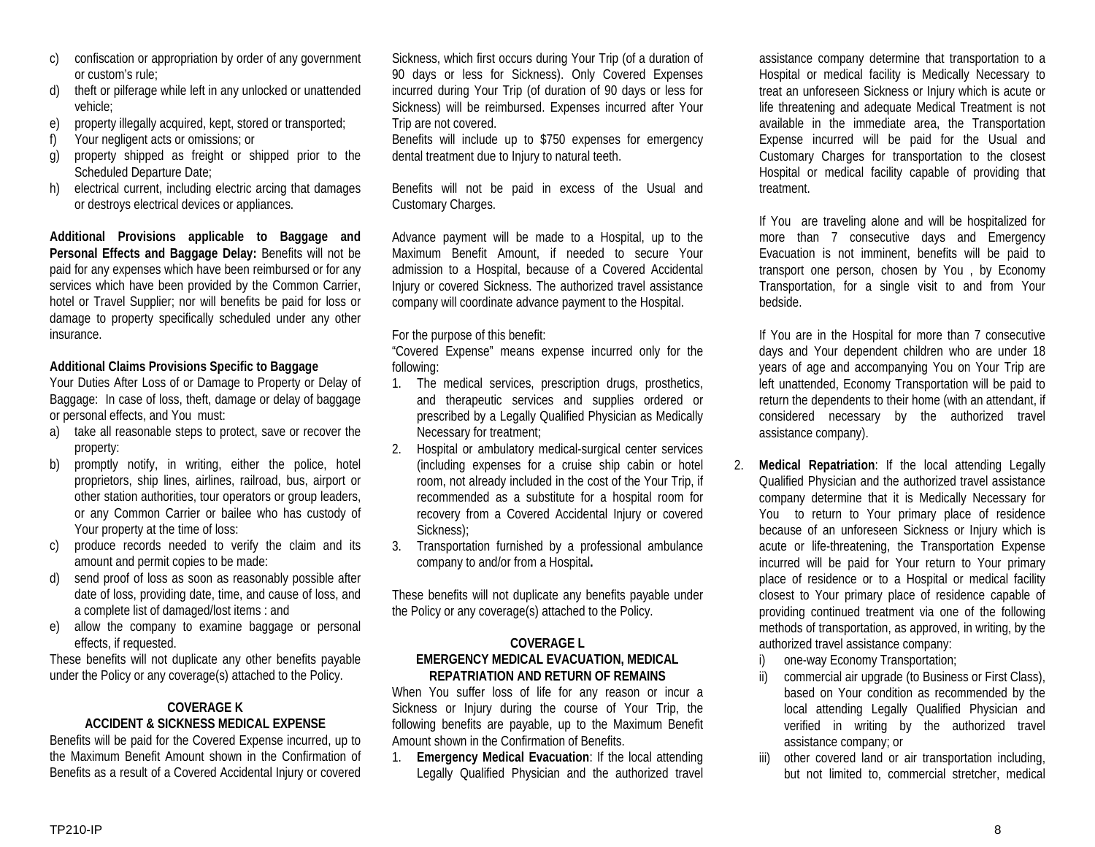- confiscation or appropriation by order of any government or custom's rule;
- d) theft or pilferage while left in any unlocked or unattended vehicle;
- e) property illegally acquired, kept, stored or transported;
- f) Your negligent acts or omissions; or
- g) property shipped as freight or shipped prior to the Scheduled Departure Date;
- h) electrical current, including electric arcing that damages or destroys electrical devices or appliances.

**Additional Provisions applicable to Baggage and Personal Effects and Baggage Delay:** Benefits will not be paid for any expenses which have been reimbursed or for any services which have been provided by the Common Carrier, hotel or Travel Supplier; nor will benefits be paid for loss or damage to property specifically scheduled under any other insurance.

# **Additional Claims Provisions Specific to Baggage**

Your Duties After Loss of or Damage to Property or Delay of Baggage: In case of loss, theft, damage or delay of baggage or personal effects, and You must:

- a) take all reasonable steps to protect, save or recover the property:
- b) promptly notify, in writing, either the police, hotel proprietors, ship lines, airlines, railroad, bus, airport or other station authorities, tour operators or group leaders, or any Common Carrier or bailee who has custody of Your property at the time of loss:
- c) produce records needed to verify the claim and its amount and permit copies to be made:
- send proof of loss as soon as reasonably possible after date of loss, providing date, time, and cause of loss, and a complete list of damaged/lost items : and
- e) allow the company to examine baggage or personal effects, if requested.

These benefits will not duplicate any other benefits payable under the Policy or any coverage(s) attached to the Policy.

# **COVERAGE K ACCIDENT & SICKNESS MEDICAL EXPENSE**

Benefits will be paid for the Covered Expense incurred, up to the Maximum Benefit Amount shown in the Confirmation of Benefits as a result of a Covered Accidental Injury or covered

Sickness, which first occurs during Your Trip (of a duration of 90 days or less for Sickness). Only Covered Expenses incurred during Your Trip (of duration of 90 days or less for Sickness) will be reimbursed. Expenses incurred after Your Trip are not covered.

Benefits will include up to \$750 expenses for emergency dental treatment due to Injury to natural teeth.

Benefits will not be paid in excess of the Usual and Customary Charges.

Advance payment will be made to a Hospital, up to the Maximum Benefit Amount, if needed to secure Your admission to a Hospital, because of a Covered Accidental Injury or covered Sickness. The authorized travel assistance company will coordinate advance payment to the Hospital.

For the purpose of this benefit:

"Covered Expense" means expense incurred only for the following:

- 1. The medical services, prescription drugs, prosthetics, and therapeutic services and supplies ordered or prescribed by a Legally Qualified Physician as Medically Necessary for treatment;
- 2. Hospital or ambulatory medical-surgical center services (including expenses for a cruise ship cabin or hotel room, not already included in the cost of the Your Trip, if recommended as a substitute for a hospital room for recovery from a Covered Accidental Injury or covered Sickness);
- 3. Transportation furnished by a professional ambulance company to and/or from a Hospital**.**

These benefits will not duplicate any benefits payable under the Policy or any coverage(s) attached to the Policy.

#### **COVERAGE L EMERGENCY MEDICAL EVACUATION, MEDICAL REPATRIATION AND RETURN OF REMAINS**

When You suffer loss of life for any reason or incur a Sickness or Injury during the course of Your Trip, the following benefits are payable, up to the Maximum Benefit Amount shown in the Confirmation of Benefits.

1. **Emergency Medical Evacuation**: If the local attending Legally Qualified Physician and the authorized travel

assistance company determine that transportation to a Hospital or medical facility is Medically Necessary to treat an unforeseen Sickness or Injury which is acute or life threatening and adequate Medical Treatment is not available in the immediate area, the Transportation Expense incurred will be paid for the Usual and Customary Charges for transportation to the closest Hospital or medical facility capable of providing that treatment.

If You are traveling alone and will be hospitalized for more than 7 consecutive days and Emergency Evacuation is not imminent, benefits will be paid to transport one person, chosen by You , by Economy Transportation, for a single visit to and from Your bedside.

If You are in the Hospital for more than 7 consecutive days and Your dependent children who are under 18 years of age and accompanying You on Your Trip are left unattended, Economy Transportation will be paid to return the dependents to their home (with an attendant, if considered necessary by the authorized travel assistance company).

- 2. **Medical Repatriation**: If the local attending Legally Qualified Physician and the authorized travel assistance company determine that it is Medically Necessary for You to return to Your primary place of residence because of an unforeseen Sickness or Injury which is acute or life-threatening, the Transportation Expense incurred will be paid for Your return to Your primary place of residence or to a Hospital or medical facility closest to Your primary place of residence capable of providing continued treatment via one of the following methods of transportation, as approved, in writing, by the authorized travel assistance company:
	- i) one-way Economy Transportation;
	- ii) commercial air upgrade (to Business or First Class), based on Your condition as recommended by the local attending Legally Qualified Physician and verified in writing by the authorized travel assistance company; or
	- iii) other covered land or air transportation including, but not limited to, commercial stretcher, medical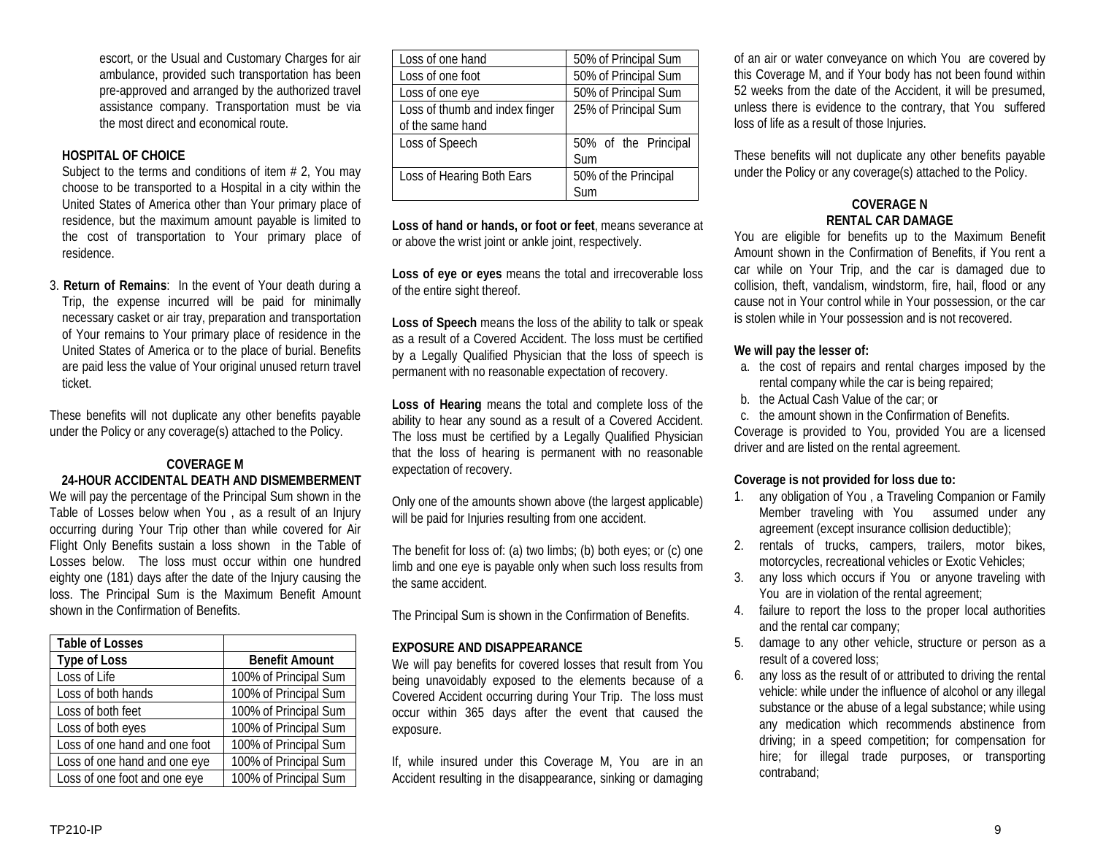escort, or the Usual and Customary Charges for air ambulance, provided such transportation has been pre-approved and arranged by the authorized travel assistance company. Transportation must be via the most direct and economical route.

## **HOSPITAL OF CHOICE**

Subject to the terms and conditions of item  $# 2$ , You may choose to be transported to a Hospital in a city within the United States of America other than Your primary place of residence, but the maximum amount payable is limited to the cost of transportation to Your primary place of residence.

3. **Return of Remains**: In the event of Your death during a Trip, the expense incurred will be paid for minimally necessary casket or air tray, preparation and transportation of Your remains to Your primary place of residence in the United States of America or to the place of burial. Benefits are paid less the value of Your original unused return travel ticket.

These benefits will not duplicate any other benefits payable under the Policy or any coverage(s) attached to the Policy.

## **COVERAGE M**

#### **24-HOUR ACCIDENTAL DEATH AND DISMEMBERMENT**

We will pay the percentage of the Principal Sum shown in the Table of Losses below when You , as a result of an Injury occurring during Your Trip other than while covered for Air Flight Only Benefits sustain a loss shown in the Table of Losses below. The loss must occur within one hundred eighty one (181) days after the date of the Injury causing the loss. The Principal Sum is the Maximum Benefit Amount shown in the Confirmation of Benefits.

| <b>Table of Losses</b>        |                       |
|-------------------------------|-----------------------|
| <b>Type of Loss</b>           | <b>Benefit Amount</b> |
| Loss of Life                  | 100% of Principal Sum |
| Loss of both hands            | 100% of Principal Sum |
| Loss of both feet             | 100% of Principal Sum |
| Loss of both eyes             | 100% of Principal Sum |
| Loss of one hand and one foot | 100% of Principal Sum |
| Loss of one hand and one eye  | 100% of Principal Sum |
| Loss of one foot and one eye  | 100% of Principal Sum |

| Loss of one hand               | 50% of Principal Sum |
|--------------------------------|----------------------|
| Loss of one foot               | 50% of Principal Sum |
| Loss of one eye                | 50% of Principal Sum |
| Loss of thumb and index finger | 25% of Principal Sum |
| of the same hand               |                      |
| Loss of Speech                 | 50% of the Principal |
|                                | Sum                  |
| Loss of Hearing Both Ears      | 50% of the Principal |
|                                | Sum                  |

**Loss of hand or hands, or foot or feet**, means severance at or above the wrist joint or ankle joint, respectively.

**Loss of eye or eyes** means the total and irrecoverable loss of the entire sight thereof.

**Loss of Speech** means the loss of the ability to talk or speak as a result of a Covered Accident. The loss must be certified by a Legally Qualified Physician that the loss of speech is permanent with no reasonable expectation of recovery.

**Loss of Hearing** means the total and complete loss of the ability to hear any sound as a result of a Covered Accident. The loss must be certified by a Legally Qualified Physician that the loss of hearing is permanent with no reasonable expectation of recovery.

Only one of the amounts shown above (the largest applicable) will be paid for Injuries resulting from one accident.

The benefit for loss of: (a) two limbs; (b) both eyes; or (c) one limb and one eye is payable only when such loss results from the same accident.

The Principal Sum is shown in the Confirmation of Benefits.

#### **EXPOSURE AND DISAPPEARANCE**

We will pay benefits for covered losses that result from You being unavoidably exposed to the elements because of a Covered Accident occurring during Your Trip. The loss must occur within 365 days after the event that caused the exposure.

If, while insured under this Coverage M, You are in an Accident resulting in the disappearance, sinking or damaging

of an air or water conveyance on which You are covered by this Coverage M, and if Your body has not been found within 52 weeks from the date of the Accident, it will be presumed, unless there is evidence to the contrary, that You suffered loss of life as a result of those Injuries.

These benefits will not duplicate any other benefits payable under the Policy or any coverage(s) attached to the Policy.

## **COVERAGE N RENTAL CAR DAMAGE**

You are eligible for benefits up to the Maximum Benefit Amount shown in the Confirmation of Benefits, if You rent a car while on Your Trip, and the car is damaged due to collision, theft, vandalism, windstorm, fire, hail, flood or any cause not in Your control while in Your possession, or the car is stolen while in Your possession and is not recovered.

## **We will pay the lesser of:**

- a. the cost of repairs and rental charges imposed by the rental company while the car is being repaired;
- b. the Actual Cash Value of the car; or

c. the amount shown in the Confirmation of Benefits. Coverage is provided to You, provided You are a licensed driver and are listed on the rental agreement.

## **Coverage is not provided for loss due to:**

- 1. any obligation of You , a Traveling Companion or Family Member traveling with You assumed under any agreement (except insurance collision deductible);
- 2. rentals of trucks, campers, trailers, motor bikes, motorcycles, recreational vehicles or Exotic Vehicles;
- 3. any loss which occurs if You or anyone traveling with You are in violation of the rental agreement;
- 4. failure to report the loss to the proper local authorities and the rental car company;
- 5. damage to any other vehicle, structure or person as a result of a covered loss;
- 6. any loss as the result of or attributed to driving the rental vehicle: while under the influence of alcohol or any illegal substance or the abuse of a legal substance; while using any medication which recommends abstinence from driving; in a speed competition; for compensation for hire; for illegal trade purposes, or transporting contraband;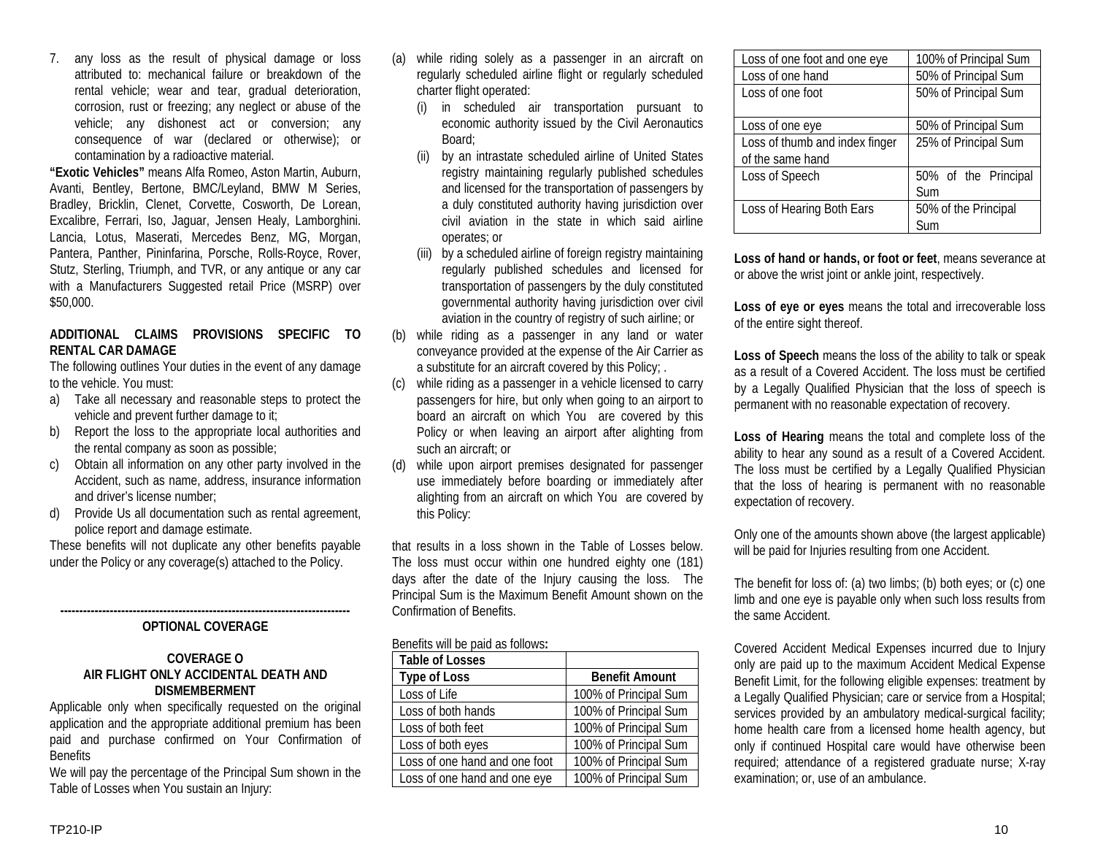7. any loss as the result of physical damage or loss attributed to: mechanical failure or breakdown of the rental vehicle; wear and tear, gradual deterioration, corrosion, rust or freezing; any neglect or abuse of the vehicle; any dishonest act or conversion; any consequence of war (declared or otherwise); or contamination by a radioactive material.

**"Exotic Vehicles"** means Alfa Romeo, Aston Martin, Auburn, Avanti, Bentley, Bertone, BMC/Leyland, BMW M Series, Bradley, Bricklin, Clenet, Corvette, Cosworth, De Lorean, Excalibre, Ferrari, Iso, Jaguar, Jensen Healy, Lamborghini. Lancia, Lotus, Maserati, Mercedes Benz, MG, Morgan, Pantera, Panther, Pininfarina, Porsche, Rolls-Royce, Rover, Stutz, Sterling, Triumph, and TVR, or any antique or any car with a Manufacturers Suggested retail Price (MSRP) over \$50,000.

#### **ADDITIONAL CLAIMS PROVISIONS SPECIFIC TO RENTAL CAR DAMAGE**

The following outlines Your duties in the event of any damage to the vehicle. You must:

- a) Take all necessary and reasonable steps to protect the vehicle and prevent further damage to it;
- b) Report the loss to the appropriate local authorities and the rental company as soon as possible;
- c) Obtain all information on any other party involved in the Accident, such as name, address, insurance information and driver's license number;
- d) Provide Us all documentation such as rental agreement, police report and damage estimate.

These benefits will not duplicate any other benefits payable under the Policy or any coverage(s) attached to the Policy.

#### **---------------------------------------------------------------------------- OPTIONAL COVERAGE**

## **COVERAGE O AIR FLIGHT ONLY ACCIDENTAL DEATH AND DISMEMBERMENT**

Applicable only when specifically requested on the original application and the appropriate additional premium has been paid and purchase confirmed on Your Confirmation of **Benefits** 

We will pay the percentage of the Principal Sum shown in the Table of Losses when You sustain an Injury:

- (a) while riding solely as a passenger in an aircraft on regularly scheduled airline flight or regularly scheduled charter flight operated:
	- (i) in scheduled air transportation pursuant to economic authority issued by the Civil Aeronautics Board;
	- (ii) by an intrastate scheduled airline of United States registry maintaining regularly published schedules and licensed for the transportation of passengers by a duly constituted authority having jurisdiction over civil aviation in the state in which said airline operates; or
	- (iii) by a scheduled airline of foreign registry maintaining regularly published schedules and licensed for transportation of passengers by the duly constituted governmental authority having jurisdiction over civil aviation in the country of registry of such airline; or
- (b) while riding as a passenger in any land or water conveyance provided at the expense of the Air Carrier as a substitute for an aircraft covered by this Policy; .
- (c) while riding as a passenger in a vehicle licensed to carry passengers for hire, but only when going to an airport to board an aircraft on which You are covered by this Policy or when leaving an airport after alighting from such an aircraft; or
- (d) while upon airport premises designated for passenger use immediately before boarding or immediately after alighting from an aircraft on which You are covered by this Policy:

that results in a loss shown in the Table of Losses below. The loss must occur within one hundred eighty one (181) days after the date of the Injury causing the loss. The Principal Sum is the Maximum Benefit Amount shown on the Confirmation of Benefits.

## Benefits will be paid as follows**:**

| <b>Table of Losses</b>        |                       |
|-------------------------------|-----------------------|
| <b>Type of Loss</b>           | <b>Benefit Amount</b> |
| Loss of Life                  | 100% of Principal Sum |
| Loss of both hands            | 100% of Principal Sum |
| Loss of both feet             | 100% of Principal Sum |
| Loss of both eyes             | 100% of Principal Sum |
| Loss of one hand and one foot | 100% of Principal Sum |
| Loss of one hand and one eye  | 100% of Principal Sum |

| Loss of one foot and one eye   | 100% of Principal Sum |
|--------------------------------|-----------------------|
| Loss of one hand               | 50% of Principal Sum  |
| Loss of one foot               | 50% of Principal Sum  |
|                                |                       |
| Loss of one eye                | 50% of Principal Sum  |
| Loss of thumb and index finger | 25% of Principal Sum  |
| of the same hand               |                       |
| Loss of Speech                 | 50% of the Principal  |
|                                | Sum                   |
| Loss of Hearing Both Ears      | 50% of the Principal  |
|                                | Sum                   |

**Loss of hand or hands, or foot or feet**, means severance at or above the wrist joint or ankle joint, respectively.

**Loss of eye or eyes** means the total and irrecoverable loss of the entire sight thereof.

**Loss of Speech** means the loss of the ability to talk or speak as a result of a Covered Accident. The loss must be certified by a Legally Qualified Physician that the loss of speech is permanent with no reasonable expectation of recovery.

**Loss of Hearing** means the total and complete loss of the ability to hear any sound as a result of a Covered Accident. The loss must be certified by a Legally Qualified Physician that the loss of hearing is permanent with no reasonable expectation of recovery.

Only one of the amounts shown above (the largest applicable) will be paid for Injuries resulting from one Accident.

The benefit for loss of: (a) two limbs; (b) both eyes; or (c) one limb and one eye is payable only when such loss results from the same Accident.

Covered Accident Medical Expenses incurred due to Injury only are paid up to the maximum Accident Medical Expense Benefit Limit, for the following eligible expenses: treatment by a Legally Qualified Physician; care or service from a Hospital; services provided by an ambulatory medical-surgical facility; home health care from a licensed home health agency, but only if continued Hospital care would have otherwise been required; attendance of a registered graduate nurse; X-ray examination; or, use of an ambulance.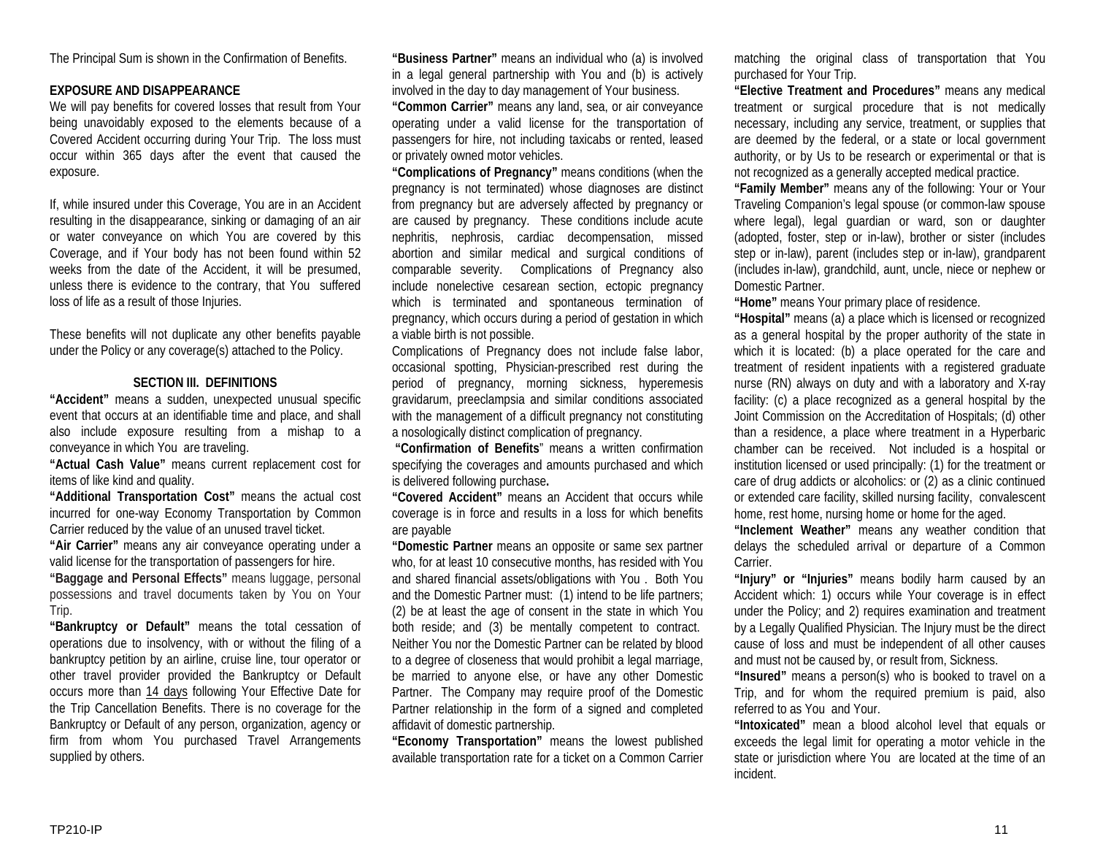The Principal Sum is shown in the Confirmation of Benefits.

#### **EXPOSURE AND DISAPPEARANCE**

We will pay benefits for covered losses that result from Your being unavoidably exposed to the elements because of a Covered Accident occurring during Your Trip. The loss must occur within 365 days after the event that caused the exposure.

If, while insured under this Coverage, You are in an Accident resulting in the disappearance, sinking or damaging of an air or water conveyance on which You are covered by this Coverage, and if Your body has not been found within 52 weeks from the date of the Accident, it will be presumed, unless there is evidence to the contrary, that You suffered loss of life as a result of those Injuries.

These benefits will not duplicate any other benefits payable under the Policy or any coverage(s) attached to the Policy.

#### **SECTION III. DEFINITIONS**

**"Accident"** means a sudden, unexpected unusual specific event that occurs at an identifiable time and place, and shall also include exposure resulting from a mishap to a conveyance in which You are traveling.

**"Actual Cash Value"** means current replacement cost for items of like kind and quality.

**"Additional Transportation Cost"** means the actual cost incurred for one-way Economy Transportation by Common Carrier reduced by the value of an unused travel ticket.

**"Air Carrier"** means any air conveyance operating under a valid license for the transportation of passengers for hire.

**"Baggage and Personal Effects"** means luggage, personal possessions and travel documents taken by You on Your Trip.

**"Bankruptcy or Default"** means the total cessation of operations due to insolvency, with or without the filing of a bankruptcy petition by an airline, cruise line, tour operator or other travel provider provided the Bankruptcy or Default occurs more than 14 days following Your Effective Date for the Trip Cancellation Benefits. There is no coverage for the Bankruptcy or Default of any person, organization, agency or firm from whom You purchased Travel Arrangements supplied by others.

**"Business Partner"** means an individual who (a) is involved in a legal general partnership with You and (b) is actively involved in the day to day management of Your business.

**"Common Carrier"** means any land, sea, or air conveyance operating under a valid license for the transportation of passengers for hire, not including taxicabs or rented, leased or privately owned motor vehicles.

**"Complications of Pregnancy"** means conditions (when the pregnancy is not terminated) whose diagnoses are distinct from pregnancy but are adversely affected by pregnancy or are caused by pregnancy. These conditions include acute nephritis, nephrosis, cardiac decompensation, missed abortion and similar medical and surgical conditions of comparable severity. Complications of Pregnancy also include nonelective cesarean section, ectopic pregnancy which is terminated and spontaneous termination of pregnancy, which occurs during a period of gestation in which a viable birth is not possible.

Complications of Pregnancy does not include false labor, occasional spotting, Physician-prescribed rest during the period of pregnancy, morning sickness, hyperemesis gravidarum, preeclampsia and similar conditions associated with the management of a difficult pregnancy not constituting a nosologically distinct complication of pregnancy.

**"Confirmation of Benefits**" means a written confirmation specifying the coverages and amounts purchased and which is delivered following purchase**.**

**"Covered Accident"** means an Accident that occurs while coverage is in force and results in a loss for which benefits are payable

**"Domestic Partner** means an opposite or same sex partner who, for at least 10 consecutive months, has resided with You and shared financial assets/obligations with You . Both You and the Domestic Partner must: (1) intend to be life partners; (2) be at least the age of consent in the state in which You both reside; and (3) be mentally competent to contract. Neither You nor the Domestic Partner can be related by blood to a degree of closeness that would prohibit a legal marriage, be married to anyone else, or have any other Domestic Partner. The Company may require proof of the Domestic Partner relationship in the form of a signed and completed affidavit of domestic partnership.

**"Economy Transportation"** means the lowest published available transportation rate for a ticket on a Common Carrier matching the original class of transportation that You purchased for Your Trip.

**"Elective Treatment and Procedures"** means any medical treatment or surgical procedure that is not medically necessary, including any service, treatment, or supplies that are deemed by the federal, or a state or local government authority, or by Us to be research or experimental or that is not recognized as a generally accepted medical practice.

**"Family Member"** means any of the following: Your or Your Traveling Companion's legal spouse (or common-law spouse where legal), legal guardian or ward, son or daughter (adopted, foster, step or in-law), brother or sister (includes step or in-law), parent (includes step or in-law), grandparent (includes in-law), grandchild, aunt, uncle, niece or nephew or Domestic Partner.

**"Home"** means Your primary place of residence.

**"Hospital"** means (a) a place which is licensed or recognized as a general hospital by the proper authority of the state in which it is located: (b) a place operated for the care and treatment of resident inpatients with a registered graduate nurse (RN) always on duty and with a laboratory and X-ray facility: (c) a place recognized as a general hospital by the Joint Commission on the Accreditation of Hospitals; (d) other than a residence, a place where treatment in a Hyperbaric chamber can be received. Not included is a hospital or institution licensed or used principally: (1) for the treatment or care of drug addicts or alcoholics: or (2) as a clinic continued or extended care facility, skilled nursing facility, convalescent home, rest home, nursing home or home for the aged.

**"Inclement Weather"** means any weather condition that delays the scheduled arrival or departure of a Common Carrier.

**"Injury" or "Injuries"** means bodily harm caused by an Accident which: 1) occurs while Your coverage is in effect under the Policy; and 2) requires examination and treatment by a Legally Qualified Physician. The Injury must be the direct cause of loss and must be independent of all other causes and must not be caused by, or result from, Sickness.

**"Insured"** means a person(s) who is booked to travel on a Trip, and for whom the required premium is paid, also referred to as You and Your.

**"Intoxicated"** mean a blood alcohol level that equals or exceeds the legal limit for operating a motor vehicle in the state or jurisdiction where You are located at the time of an incident.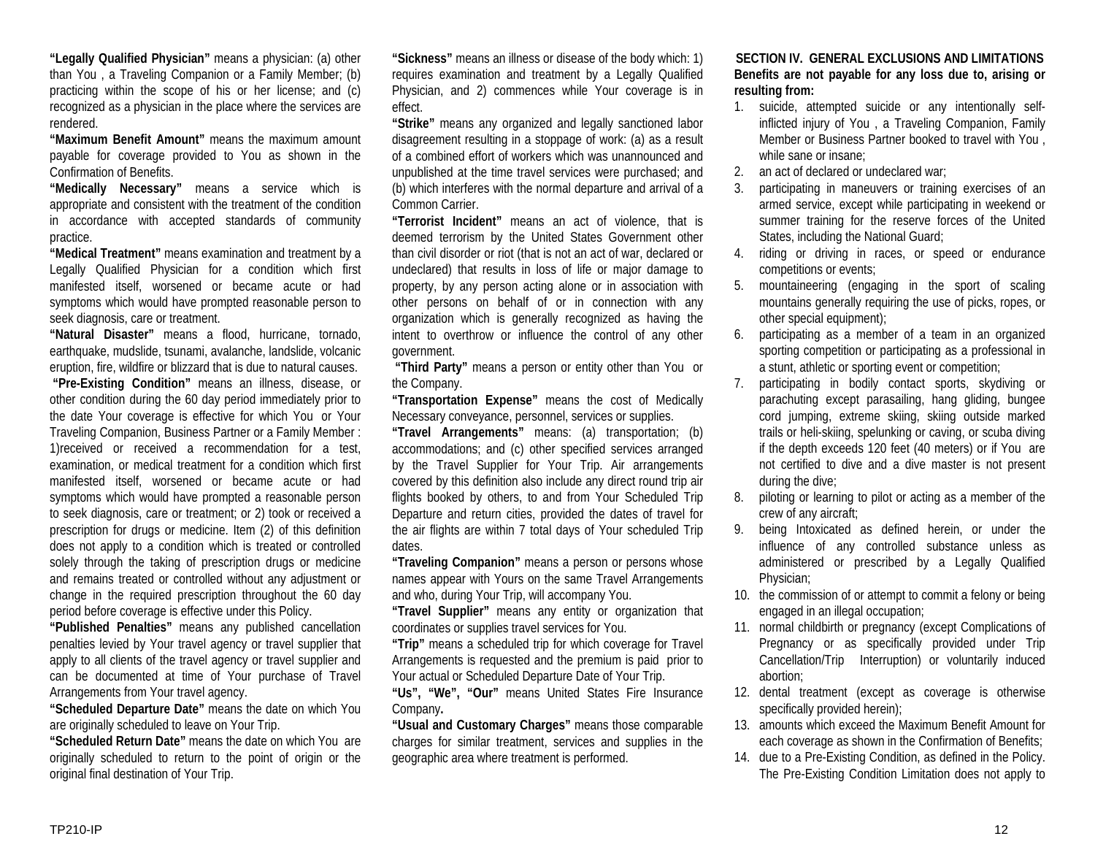**"Legally Qualified Physician"** means a physician: (a) other than You , a Traveling Companion or a Family Member; (b) practicing within the scope of his or her license; and (c) recognized as a physician in the place where the services are rendered.

**"Maximum Benefit Amount"** means the maximum amount payable for coverage provided to You as shown in the Confirmation of Benefits.

**"Medically Necessary"** means a service which is appropriate and consistent with the treatment of the condition in accordance with accepted standards of community practice.

**"Medical Treatment"** means examination and treatment by a Legally Qualified Physician for a condition which first manifested itself, worsened or became acute or had symptoms which would have prompted reasonable person to seek diagnosis, care or treatment.

**"Natural Disaster"** means a flood, hurricane, tornado, earthquake, mudslide, tsunami, avalanche, landslide, volcanic eruption, fire, wildfire or blizzard that is due to natural causes.

**"Pre-Existing Condition"** means an illness, disease, or other condition during the 60 day period immediately prior to the date Your coverage is effective for which You or Your Traveling Companion, Business Partner or a Family Member : 1)received or received a recommendation for a test, examination, or medical treatment for a condition which first manifested itself, worsened or became acute or had symptoms which would have prompted a reasonable person to seek diagnosis, care or treatment; or 2) took or received a prescription for drugs or medicine. Item (2) of this definition does not apply to a condition which is treated or controlled solely through the taking of prescription drugs or medicine and remains treated or controlled without any adjustment or change in the required prescription throughout the 60 day period before coverage is effective under this Policy.

**"Published Penalties"** means any published cancellation penalties levied by Your travel agency or travel supplier that apply to all clients of the travel agency or travel supplier and can be documented at time of Your purchase of Travel Arrangements from Your travel agency.

**"Scheduled Departure Date"** means the date on which You are originally scheduled to leave on Your Trip.

**"Scheduled Return Date"** means the date on which You are originally scheduled to return to the point of origin or the original final destination of Your Trip.

**"Sickness"** means an illness or disease of the body which: 1) requires examination and treatment by a Legally Qualified Physician, and 2) commences while Your coverage is in effect.

**"Strike"** means any organized and legally sanctioned labor disagreement resulting in a stoppage of work: (a) as a result of a combined effort of workers which was unannounced and unpublished at the time travel services were purchased; and (b) which interferes with the normal departure and arrival of a Common Carrier.

**"Terrorist Incident"** means an act of violence, that is deemed terrorism by the United States Government other than civil disorder or riot (that is not an act of war, declared or undeclared) that results in loss of life or major damage to property, by any person acting alone or in association with other persons on behalf of or in connection with any organization which is generally recognized as having the intent to overthrow or influence the control of any other government.

**"Third Party"** means a person or entity other than You or the Company.

**"Transportation Expense"** means the cost of Medically Necessary conveyance, personnel, services or supplies.

**"Travel Arrangements"** means: (a) transportation; (b) accommodations; and (c) other specified services arranged by the Travel Supplier for Your Trip. Air arrangements covered by this definition also include any direct round trip air flights booked by others, to and from Your Scheduled Trip Departure and return cities, provided the dates of travel for the air flights are within 7 total days of Your scheduled Trip dates.

**"Traveling Companion"** means a person or persons whose names appear with Yours on the same Travel Arrangements and who, during Your Trip, will accompany You.

**"Travel Supplier"** means any entity or organization that coordinates or supplies travel services for You.

**"Trip"** means a scheduled trip for which coverage for Travel Arrangements is requested and the premium is paid prior to Your actual or Scheduled Departure Date of Your Trip.

**"Us", "We", "Our"** means United States Fire Insurance Company**.**

**"Usual and Customary Charges"** means those comparable charges for similar treatment, services and supplies in the geographic area where treatment is performed.

## **SECTION IV. GENERAL EXCLUSIONS AND LIMITATIONS Benefits are not payable for any loss due to, arising or resulting from:**

- 1. suicide, attempted suicide or any intentionally selfinflicted injury of You , a Traveling Companion, Family Member or Business Partner booked to travel with You , while sane or insane;
- 2. an act of declared or undeclared war;
- 3. participating in maneuvers or training exercises of an armed service, except while participating in weekend or summer training for the reserve forces of the United States, including the National Guard;
- 4. riding or driving in races, or speed or endurance competitions or events;
- 5. mountaineering (engaging in the sport of scaling mountains generally requiring the use of picks, ropes, or other special equipment);
- 6. participating as a member of a team in an organized sporting competition or participating as a professional in a stunt, athletic or sporting event or competition;
- 7. participating in bodily contact sports, skydiving or parachuting except parasailing, hang gliding, bungee cord jumping, extreme skiing, skiing outside marked trails or heli-skiing, spelunking or caving, or scuba diving if the depth exceeds 120 feet (40 meters) or if You are not certified to dive and a dive master is not present during the dive;
- 8. piloting or learning to pilot or acting as a member of the crew of any aircraft;
- 9. being Intoxicated as defined herein, or under the influence of any controlled substance unless as administered or prescribed by a Legally Qualified Physician;
- 10. the commission of or attempt to commit a felony or being engaged in an illegal occupation;
- 11. normal childbirth or pregnancy (except Complications of Pregnancy or as specifically provided under Trip Cancellation/Trip Interruption) or voluntarily induced abortion;
- 12. dental treatment (except as coverage is otherwise specifically provided herein);
- 13. amounts which exceed the Maximum Benefit Amount for each coverage as shown in the Confirmation of Benefits;
- 14. due to a Pre-Existing Condition, as defined in the Policy. The Pre-Existing Condition Limitation does not apply to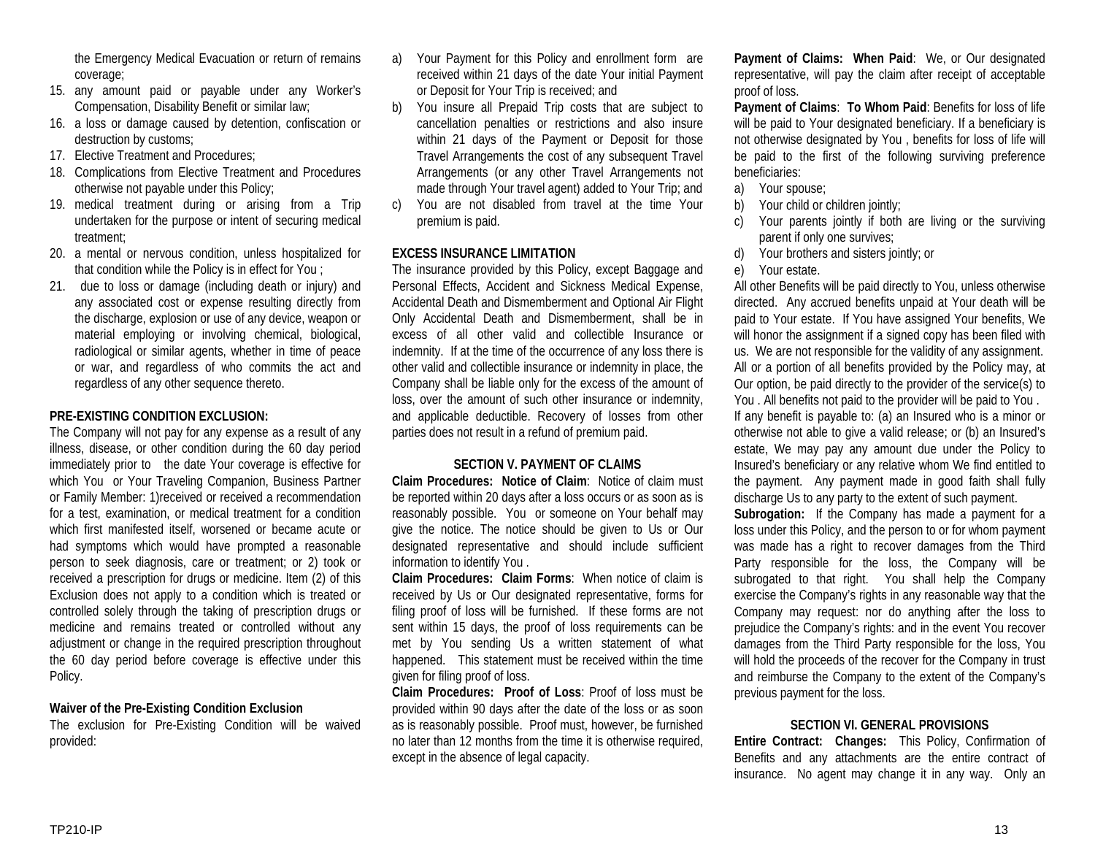the Emergency Medical Evacuation or return of remains coverage;

- 15. any amount paid or payable under any Worker's Compensation, Disability Benefit or similar law;
- 16. a loss or damage caused by detention, confiscation or destruction by customs;
- 17. Elective Treatment and Procedures;
- 18. Complications from Elective Treatment and Procedures otherwise not payable under this Policy;
- 19. medical treatment during or arising from a Trip undertaken for the purpose or intent of securing medical treatment;
- 20. a mental or nervous condition, unless hospitalized for that condition while the Policy is in effect for You ;
- 21. due to loss or damage (including death or injury) and any associated cost or expense resulting directly from the discharge, explosion or use of any device, weapon or material employing or involving chemical, biological, radiological or similar agents, whether in time of peace or war, and regardless of who commits the act and regardless of any other sequence thereto.

#### **PRE-EXISTING CONDITION EXCLUSION:**

The Company will not pay for any expense as a result of any illness, disease, or other condition during the 60 day period immediately prior to the date Your coverage is effective for which You or Your Traveling Companion, Business Partner or Family Member: 1)received or received a recommendation for a test, examination, or medical treatment for a condition which first manifested itself, worsened or became acute or had symptoms which would have prompted a reasonable person to seek diagnosis, care or treatment; or 2) took or received a prescription for drugs or medicine. Item (2) of this Exclusion does not apply to a condition which is treated or controlled solely through the taking of prescription drugs or medicine and remains treated or controlled without any adjustment or change in the required prescription throughout the 60 day period before coverage is effective under this Policy.

#### **Waiver of the Pre-Existing Condition Exclusion**

The exclusion for Pre-Existing Condition will be waived provided:

- a) Your Payment for this Policy and enrollment form are received within 21 days of the date Your initial Payment or Deposit for Your Trip is received; and
- b) You insure all Prepaid Trip costs that are subject to cancellation penalties or restrictions and also insure within 21 days of the Payment or Deposit for those Travel Arrangements the cost of any subsequent Travel Arrangements (or any other Travel Arrangements not made through Your travel agent) added to Your Trip; and
- c) You are not disabled from travel at the time Your premium is paid.

## **EXCESS INSURANCE LIMITATION**

The insurance provided by this Policy, except Baggage and Personal Effects, Accident and Sickness Medical Expense, Accidental Death and Dismemberment and Optional Air Flight Only Accidental Death and Dismemberment, shall be in excess of all other valid and collectible Insurance or indemnity. If at the time of the occurrence of any loss there is other valid and collectible insurance or indemnity in place, the Company shall be liable only for the excess of the amount of loss, over the amount of such other insurance or indemnity, and applicable deductible. Recovery of losses from other parties does not result in a refund of premium paid.

#### **SECTION V. PAYMENT OF CLAIMS**

**Claim Procedures: Notice of Claim**: Notice of claim must be reported within 20 days after a loss occurs or as soon as is reasonably possible. You or someone on Your behalf may give the notice. The notice should be given to Us or Our designated representative and should include sufficient information to identify You .

**Claim Procedures: Claim Forms**: When notice of claim is received by Us or Our designated representative, forms for filing proof of loss will be furnished. If these forms are not sent within 15 days, the proof of loss requirements can be met by You sending Us a written statement of what happened. This statement must be received within the time given for filing proof of loss.

**Claim Procedures: Proof of Loss**: Proof of loss must be provided within 90 days after the date of the loss or as soon as is reasonably possible. Proof must, however, be furnished no later than 12 months from the time it is otherwise required, except in the absence of legal capacity.

**Payment of Claims: When Paid**: We, or Our designated representative, will pay the claim after receipt of acceptable proof of loss.

**Payment of Claims**: **To Whom Paid**: Benefits for loss of life will be paid to Your designated beneficiary. If a beneficiary is not otherwise designated by You , benefits for loss of life will be paid to the first of the following surviving preference beneficiaries:

- a) Your spouse;
- b) Your child or children jointly;
- c) Your parents jointly if both are living or the surviving parent if only one survives;
- d) Your brothers and sisters jointly; or
- e) Your estate.

All other Benefits will be paid directly to You, unless otherwise directed. Any accrued benefits unpaid at Your death will be paid to Your estate. If You have assigned Your benefits, We will honor the assignment if a signed copy has been filed with us. We are not responsible for the validity of any assignment. All or a portion of all benefits provided by the Policy may, at Our option, be paid directly to the provider of the service(s) to You . All benefits not paid to the provider will be paid to You . If any benefit is payable to: (a) an Insured who is a minor or otherwise not able to give a valid release; or (b) an Insured's estate, We may pay any amount due under the Policy to Insured's beneficiary or any relative whom We find entitled to the payment. Any payment made in good faith shall fully discharge Us to any party to the extent of such payment.

**Subrogation:** If the Company has made a payment for a loss under this Policy, and the person to or for whom payment was made has a right to recover damages from the Third Party responsible for the loss, the Company will be subrogated to that right. You shall help the Company exercise the Company's rights in any reasonable way that the Company may request: nor do anything after the loss to prejudice the Company's rights: and in the event You recover damages from the Third Party responsible for the loss, You will hold the proceeds of the recover for the Company in trust and reimburse the Company to the extent of the Company's previous payment for the loss.

## **SECTION VI. GENERAL PROVISIONS**

**Entire Contract: Changes:** This Policy, Confirmation of Benefits and any attachments are the entire contract of insurance. No agent may change it in any way. Only an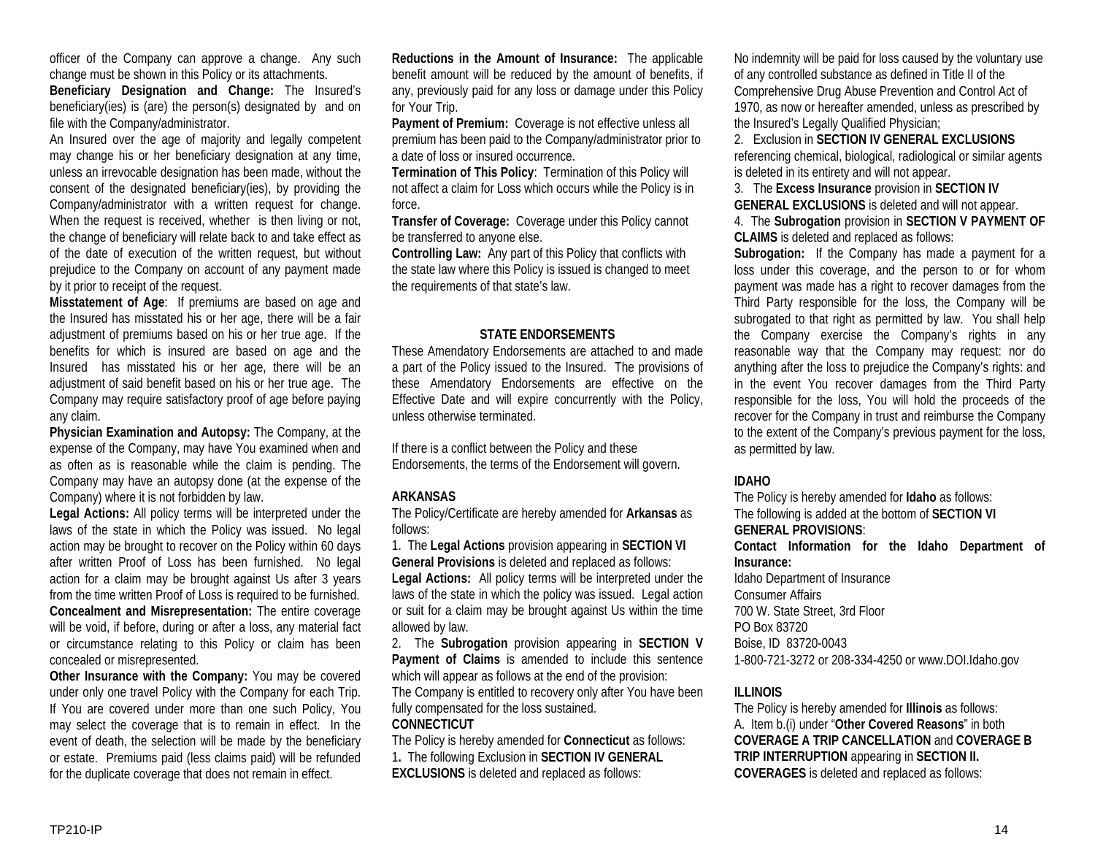officer of the Company can approve a change. Any such change must be shown in this Policy or its attachments.

**Beneficiary Designation and Change:** The Insured's beneficiary(ies) is (are) the person(s) designated by and on file with the Company/administrator.

An Insured over the age of majority and legally competent may change his or her beneficiary designation at any time, unless an irrevocable designation has been made, without the consent of the designated beneficiary(ies), by providing the Company/administrator with a written request for change. When the request is received, whether is then living or not, the change of beneficiary will relate back to and take effect as of the date of execution of the written request, but without prejudice to the Company on account of any payment made by it prior to receipt of the request.

**Misstatement of Age**: If premiums are based on age and the Insured has misstated his or her age, there will be a fair adjustment of premiums based on his or her true age. If the benefits for which is insured are based on age and the Insured has misstated his or her age, there will be an adjustment of said benefit based on his or her true age. The Company may require satisfactory proof of age before paying any claim.

**Physician Examination and Autopsy:** The Company, at the expense of the Company, may have You examined when and as often as is reasonable while the claim is pending. The Company may have an autopsy done (at the expense of the Company) where it is not forbidden by law.

**Legal Actions:** All policy terms will be interpreted under the laws of the state in which the Policy was issued. No legal action may be brought to recover on the Policy within 60 days after written Proof of Loss has been furnished. No legal action for a claim may be brought against Us after 3 years from the time written Proof of Loss is required to be furnished. **Concealment and Misrepresentation:** The entire coverage will be void, if before, during or after a loss, any material fact or circumstance relating to this Policy or claim has been concealed or misrepresented.

**Other Insurance with the Company:** You may be covered under only one travel Policy with the Company for each Trip. If You are covered under more than one such Policy, You may select the coverage that is to remain in effect. In the event of death, the selection will be made by the beneficiary or estate. Premiums paid (less claims paid) will be refunded for the duplicate coverage that does not remain in effect.

**Reductions in the Amount of Insurance:** The applicable benefit amount will be reduced by the amount of benefits, if any, previously paid for any loss or damage under this Policy for Your Trip.

**Payment of Premium:** Coverage is not effective unless all premium has been paid to the Company/administrator prior to a date of loss or insured occurrence.

**Termination of This Policy**: Termination of this Policy will not affect a claim for Loss which occurs while the Policy is in force.

**Transfer of Coverage:** Coverage under this Policy cannot be transferred to anyone else.

**Controlling Law:** Any part of this Policy that conflicts with the state law where this Policy is issued is changed to meet the requirements of that state's law.

#### **STATE ENDORSEMENTS**

These Amendatory Endorsements are attached to and made a part of the Policy issued to the Insured. The provisions of these Amendatory Endorsements are effective on the Effective Date and will expire concurrently with the Policy, unless otherwise terminated.

If there is a conflict between the Policy and these Endorsements, the terms of the Endorsement will govern.

#### **ARKANSAS**

The Policy/Certificate are hereby amended for **Arkansas** as follows:

1. The **Legal Actions** provision appearing in **SECTION VI General Provisions** is deleted and replaced as follows:

**Legal Actions:** All policy terms will be interpreted under the laws of the state in which the policy was issued. Legal action or suit for a claim may be brought against Us within the time allowed by law.

2. The **Subrogation** provision appearing in **SECTION V Payment of Claims** is amended to include this sentence which will appear as follows at the end of the provision:

The Company is entitled to recovery only after You have been fully compensated for the loss sustained.

#### **CONNECTICUT**

The Policy is hereby amended for **Connecticut** as follows: 1**.** The following Exclusion in **SECTION IV GENERAL EXCLUSIONS** is deleted and replaced as follows:

No indemnity will be paid for loss caused by the voluntary use of any controlled substance as defined in Title II of the Comprehensive Drug Abuse Prevention and Control Act of 1970, as now or hereafter amended, unless as prescribed by the Insured's Legally Qualified Physician;

2. Exclusion in **SECTION IV GENERAL EXCLUSIONS** referencing chemical, biological, radiological or similar agents is deleted in its entirety and will not appear.

3. The **Excess Insurance** provision in **SECTION IV GENERAL EXCLUSIONS** is deleted and will not appear.

4. The **Subrogation** provision in **SECTION V PAYMENT OF CLAIMS** is deleted and replaced as follows:

**Subrogation:** If the Company has made a payment for a loss under this coverage, and the person to or for whom payment was made has a right to recover damages from the Third Party responsible for the loss, the Company will be subrogated to that right as permitted by law. You shall help the Company exercise the Company's rights in any reasonable way that the Company may request: nor do anything after the loss to prejudice the Company's rights: and in the event You recover damages from the Third Party responsible for the loss, You will hold the proceeds of the recover for the Company in trust and reimburse the Company to the extent of the Company's previous payment for the loss, as permitted by law.

#### **IDAHO**

The Policy is hereby amended for **Idaho** as follows: The following is added at the bottom of **SECTION VI GENERAL PROVISIONS**: **Contact Information for the Idaho Department of Insurance:** Idaho Department of Insurance Consumer Affairs 700 W. State Street, 3rd Floor PO Box 83720 Boise, ID 83720-0043 1-800-721-3272 or 208-334-4250 or www.DOI.Idaho.gov

## **ILLINOIS**

The Policy is hereby amended for **Illinois** as follows: A. Item b.(i) under "**Other Covered Reasons**" in both **COVERAGE A TRIP CANCELLATION** and **COVERAGE B TRIP INTERRUPTION** appearing in **SECTION II. COVERAGES** is deleted and replaced as follows: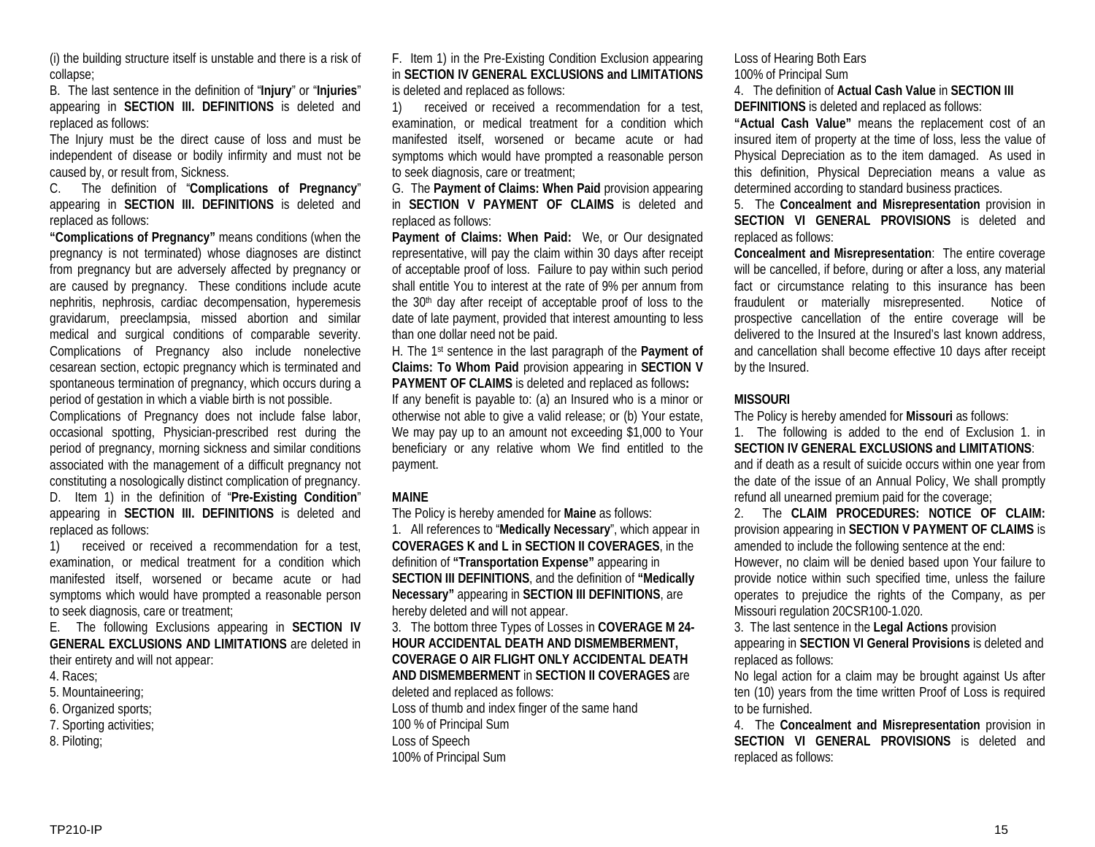(i) the building structure itself is unstable and there is a risk of collapse;

B. The last sentence in the definition of "**Injury**" or "**Injuries**" appearing in **SECTION III. DEFINITIONS** is deleted and replaced as follows:

The Injury must be the direct cause of loss and must be independent of disease or bodily infirmity and must not be caused by, or result from, Sickness.

C. The definition of "**Complications of Pregnancy**" appearing in **SECTION III. DEFINITIONS** is deleted and replaced as follows:

**"Complications of Pregnancy"** means conditions (when the pregnancy is not terminated) whose diagnoses are distinct from pregnancy but are adversely affected by pregnancy or are caused by pregnancy. These conditions include acute nephritis, nephrosis, cardiac decompensation, hyperemesis gravidarum, preeclampsia, missed abortion and similar medical and surgical conditions of comparable severity. Complications of Pregnancy also include nonelective cesarean section, ectopic pregnancy which is terminated and spontaneous termination of pregnancy, which occurs during a period of gestation in which a viable birth is not possible.

Complications of Pregnancy does not include false labor, occasional spotting, Physician-prescribed rest during the period of pregnancy, morning sickness and similar conditions associated with the management of a difficult pregnancy not constituting a nosologically distinct complication of pregnancy.

D. Item 1) in the definition of "**Pre-Existing Condition**" appearing in **SECTION III. DEFINITIONS** is deleted and replaced as follows:

1) received or received a recommendation for a test, examination, or medical treatment for a condition which manifested itself, worsened or became acute or had symptoms which would have prompted a reasonable person to seek diagnosis, care or treatment;

E. The following Exclusions appearing in **SECTION IV GENERAL EXCLUSIONS AND LIMITATIONS** are deleted in their entirety and will not appear:

- 4. Races;
- 5. Mountaineering;
- 6. Organized sports;
- 7. Sporting activities;
- 8. Piloting;

F. Item 1) in the Pre-Existing Condition Exclusion appearing in **SECTION IV GENERAL EXCLUSIONS and LIMITATIONS** is deleted and replaced as follows:

1) received or received a recommendation for a test, examination, or medical treatment for a condition which manifested itself, worsened or became acute or had symptoms which would have prompted a reasonable person to seek diagnosis, care or treatment;

G. The **Payment of Claims: When Paid** provision appearing in **SECTION V PAYMENT OF CLAIMS** is deleted and replaced as follows:

**Payment of Claims: When Paid:** We, or Our designated representative, will pay the claim within 30 days after receipt of acceptable proof of loss. Failure to pay within such period shall entitle You to interest at the rate of 9% per annum from the 30<sup>th</sup> day after receipt of acceptable proof of loss to the date of late payment, provided that interest amounting to less than one dollar need not be paid.

H. The 1st sentence in the last paragraph of the **Payment of Claims: To Whom Paid** provision appearing in **SECTION V PAYMENT OF CLAIMS** is deleted and replaced as follows**:**

If any benefit is payable to: (a) an Insured who is a minor or otherwise not able to give a valid release; or (b) Your estate, We may pay up to an amount not exceeding \$1,000 to Your beneficiary or any relative whom We find entitled to the payment.

## **MAINE**

The Policy is hereby amended for **Maine** as follows:

1. All references to "**Medically Necessary**", which appear in **COVERAGES K and L in SECTION II COVERAGES**, in the definition of **"Transportation Expense"** appearing in **SECTION III DEFINITIONS**, and the definition of **"Medically Necessary"** appearing in **SECTION III DEFINITIONS**, are hereby deleted and will not appear.

3. The bottom three Types of Losses in **COVERAGE M 24- HOUR ACCIDENTAL DEATH AND DISMEMBERMENT, COVERAGE O AIR FLIGHT ONLY ACCIDENTAL DEATH AND DISMEMBERMENT** in **SECTION II COVERAGES** are deleted and replaced as follows:

Loss of thumb and index finger of the same hand 100 % of Principal Sum

Loss of Speech

100% of Principal Sum

Loss of Hearing Both Ears 100% of Principal Sum

4. The definition of **Actual Cash Value** in **SECTION III DEFINITIONS** is deleted and replaced as follows:

**"Actual Cash Value"** means the replacement cost of an insured item of property at the time of loss, less the value of Physical Depreciation as to the item damaged. As used in this definition, Physical Depreciation means a value as determined according to standard business practices.

5. The **Concealment and Misrepresentation** provision in **SECTION VI GENERAL PROVISIONS** is deleted and replaced as follows:

**Concealment and Misrepresentation**: The entire coverage will be cancelled, if before, during or after a loss, any material fact or circumstance relating to this insurance has been fraudulent or materially misrepresented. Notice of prospective cancellation of the entire coverage will be delivered to the Insured at the Insured's last known address, and cancellation shall become effective 10 days after receipt by the Insured.

## **MISSOURI**

The Policy is hereby amended for **Missouri** as follows:

1. The following is added to the end of Exclusion 1. in **SECTION IV GENERAL EXCLUSIONS and LIMITATIONS**: and if death as a result of suicide occurs within one year from the date of the issue of an Annual Policy, We shall promptly refund all unearned premium paid for the coverage;

2. The **CLAIM PROCEDURES: NOTICE OF CLAIM:**  provision appearing in **SECTION V PAYMENT OF CLAIMS** is amended to include the following sentence at the end: However, no claim will be denied based upon Your failure to provide notice within such specified time, unless the failure operates to prejudice the rights of the Company, as per Missouri regulation 20CSR100-1.020.

3. The last sentence in the **Legal Actions** provision appearing in **SECTION VI General Provisions** is deleted and replaced as follows:

No legal action for a claim may be brought against Us after ten (10) years from the time written Proof of Loss is required to be furnished.

4. The **Concealment and Misrepresentation** provision in **SECTION VI GENERAL PROVISIONS** is deleted and replaced as follows: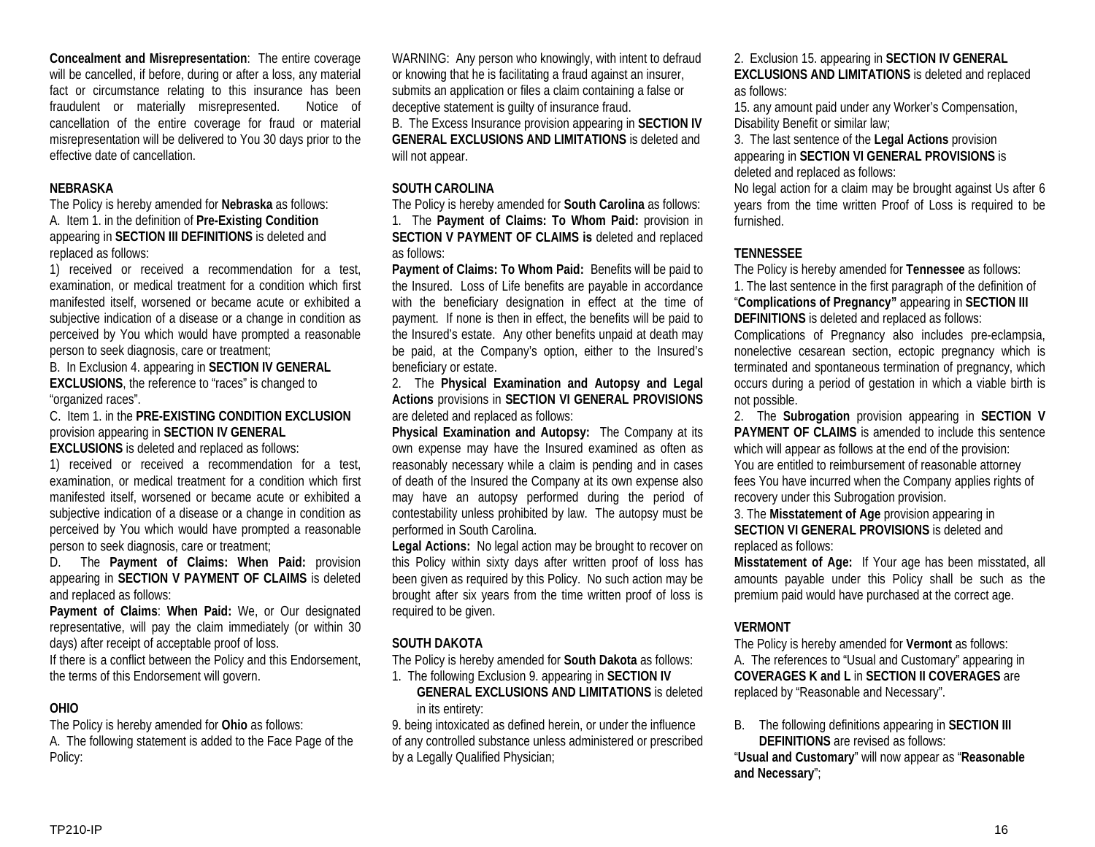**Concealment and Misrepresentation**: The entire coverage will be cancelled, if before, during or after a loss, any material fact or circumstance relating to this insurance has been fraudulent or materially misrepresented. Notice of cancellation of the entire coverage for fraud or material misrepresentation will be delivered to You 30 days prior to the effective date of cancellation.

#### **NEBRASKA**

The Policy is hereby amended for **Nebraska** as follows: A. Item 1. in the definition of **Pre-Existing Condition** appearing in **SECTION III DEFINITIONS** is deleted and replaced as follows:

1) received or received a recommendation for a test, examination, or medical treatment for a condition which first manifested itself, worsened or became acute or exhibited a subjective indication of a disease or a change in condition as perceived by You which would have prompted a reasonable person to seek diagnosis, care or treatment;

B. In Exclusion 4. appearing in **SECTION IV GENERAL EXCLUSIONS**, the reference to "races" is changed to "organized races".

C. Item 1. in the **PRE-EXISTING CONDITION EXCLUSION** provision appearing in **SECTION IV GENERAL** 

**EXCLUSIONS** is deleted and replaced as follows:

1) received or received a recommendation for a test, examination, or medical treatment for a condition which first manifested itself, worsened or became acute or exhibited a subjective indication of a disease or a change in condition as perceived by You which would have prompted a reasonable person to seek diagnosis, care or treatment;

D. The **Payment of Claims: When Paid:** provision appearing in **SECTION V PAYMENT OF CLAIMS** is deleted and replaced as follows:

**Payment of Claims**: **When Paid:** We, or Our designated representative, will pay the claim immediately (or within 30 days) after receipt of acceptable proof of loss.

If there is a conflict between the Policy and this Endorsement, the terms of this Endorsement will govern.

## **OHIO**

The Policy is hereby amended for **Ohio** as follows: A. The following statement is added to the Face Page of the Policy:

WARNING: Any person who knowingly, with intent to defraud or knowing that he is facilitating a fraud against an insurer, submits an application or files a claim containing a false or deceptive statement is guilty of insurance fraud. B. The Excess Insurance provision appearing in **SECTION IV GENERAL EXCLUSIONS AND LIMITATIONS** is deleted and will not appear.

#### **SOUTH CAROLINA**

The Policy is hereby amended for **South Carolina** as follows: 1. The **Payment of Claims: To Whom Paid:** provision in **SECTION V PAYMENT OF CLAIMS is** deleted and replaced as follows:

**Payment of Claims: To Whom Paid:** Benefits will be paid to the Insured. Loss of Life benefits are payable in accordance with the beneficiary designation in effect at the time of payment. If none is then in effect, the benefits will be paid to the Insured's estate. Any other benefits unpaid at death may be paid, at the Company's option, either to the Insured's beneficiary or estate.

2. The **Physical Examination and Autopsy and Legal Actions** provisions in **SECTION VI GENERAL PROVISIONS** are deleted and replaced as follows:

**Physical Examination and Autopsy:** The Company at its own expense may have the Insured examined as often as reasonably necessary while a claim is pending and in cases of death of the Insured the Company at its own expense also may have an autopsy performed during the period of contestability unless prohibited by law. The autopsy must be performed in South Carolina.

**Legal Actions:** No legal action may be brought to recover on this Policy within sixty days after written proof of loss has been given as required by this Policy. No such action may be brought after six years from the time written proof of loss is required to be given.

## **SOUTH DAKOTA**

The Policy is hereby amended for **South Dakota** as follows:

1. The following Exclusion 9. appearing in **SECTION IV** 

**GENERAL EXCLUSIONS AND LIMITATIONS** is deleted in its entirety:

9. being intoxicated as defined herein, or under the influence of any controlled substance unless administered or prescribed by a Legally Qualified Physician;

2. Exclusion 15. appearing in **SECTION IV GENERAL EXCLUSIONS AND LIMITATIONS** is deleted and replaced as follows:

15. any amount paid under any Worker's Compensation, Disability Benefit or similar law;

3. The last sentence of the **Legal Actions** provision appearing in **SECTION VI GENERAL PROVISIONS** is deleted and replaced as follows:

No legal action for a claim may be brought against Us after 6 years from the time written Proof of Loss is required to be furnished.

## **TENNESSEE**

The Policy is hereby amended for **Tennessee** as follows: 1. The last sentence in the first paragraph of the definition of "**Complications of Pregnancy"** appearing in **SECTION III DEFINITIONS** is deleted and replaced as follows:

Complications of Pregnancy also includes pre-eclampsia, nonelective cesarean section, ectopic pregnancy which is terminated and spontaneous termination of pregnancy, which occurs during a period of gestation in which a viable birth is not possible.

2. The **Subrogation** provision appearing in **SECTION V PAYMENT OF CLAIMS** is amended to include this sentence which will appear as follows at the end of the provision: You are entitled to reimbursement of reasonable attorney fees You have incurred when the Company applies rights of recovery under this Subrogation provision.

3. The **Misstatement of Age** provision appearing in **SECTION VI GENERAL PROVISIONS** is deleted and replaced as follows:

**Misstatement of Age:** If Your age has been misstated, all amounts payable under this Policy shall be such as the premium paid would have purchased at the correct age.

# **VERMONT**

The Policy is hereby amended for **Vermont** as follows: A. The references to "Usual and Customary" appearing in **COVERAGES K and L** in **SECTION II COVERAGES** are replaced by "Reasonable and Necessary".

B. The following definitions appearing in **SECTION III DEFINITIONS** are revised as follows:

"**Usual and Customary**" will now appear as "**Reasonable and Necessary**";